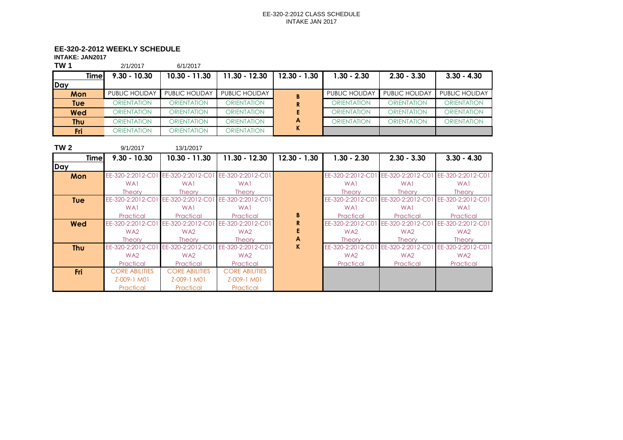# **EE-320-2-2012 WEEKLY SCHEDULE**

**INTAKE: JAN2017**

| <b>TW1</b> | 2/1/2017           | 6/1/2017              |                    |                |                    |                       |                       |
|------------|--------------------|-----------------------|--------------------|----------------|--------------------|-----------------------|-----------------------|
| Timel      | $9.30 - 10.30$     | $10.30 - 11.30$       | 11.30 - 12.30      | $12.30 - 1.30$ | $1.30 - 2.30$      | $2.30 - 3.30$         | $3.30 - 4.30$         |
| Day        |                    |                       |                    |                |                    |                       |                       |
| Mon        | PUBLIC HOLIDAY     | <b>PUBLIC HOLIDAY</b> | PUBLIC HOLIDAY     |                | PUBLIC HOLIDAY     | <b>PUBLIC HOLIDAY</b> | <b>PUBLIC HOLIDAY</b> |
| Tuel       | <b>ORIENTATION</b> | <b>ORIENTATION</b>    | <b>ORIENTATION</b> |                | <b>ORIENTATION</b> | <b>ORIENTATION</b>    | <b>ORIENTATION</b>    |
| <b>Wed</b> | <b>ORIENTATION</b> | <b>ORIENTATION</b>    | <b>ORIENTATION</b> |                | <b>ORIENTATION</b> | <b>ORIENTATION</b>    | <b>ORIENTATION</b>    |
| Thu        | <b>ORIENTATION</b> | <b>ORIENTATION</b>    | <b>ORIENTATION</b> | A              | <b>ORIENTATION</b> | <b>ORIENTATION</b>    | <b>ORIENTATION</b>    |
| Fri        | <b>ORIENTATION</b> | <b>ORIENTATION</b>    | <b>ORIENTATION</b> |                |                    |                       |                       |

| <b>TW 2</b>  | 9/1/2017              | 13/1/2017                           |                       |                |                   |                                     |                   |
|--------------|-----------------------|-------------------------------------|-----------------------|----------------|-------------------|-------------------------------------|-------------------|
| <b>Timel</b> | $9.30 - 10.30$        | $10.30 - 11.30$                     | 11.30 - 12.30         | $12.30 - 1.30$ | $1.30 - 2.30$     | $2.30 - 3.30$                       | $3.30 - 4.30$     |
| Day          |                       |                                     |                       |                |                   |                                     |                   |
| Mon          | EE-320-2:2012-C01     | EE-320-2:2012-C01 EE-320-2:2012-C01 |                       |                |                   | EE-320-2:2012-C01 EE-320-2:2012-C01 | EE-320-2:2012-C01 |
|              | WA1                   | WA1                                 | WA1                   |                | WA1               | WA1                                 | WA1               |
|              | <b>Theory</b>         | <b>Theory</b>                       | <b>Theory</b>         |                | <b>Theory</b>     | <b>Theory</b>                       | <b>Theory</b>     |
| <b>Tue</b>   | EE-320-2:2012-C01     | EE-320-2:2012-C01 EE-320-2:2012-C01 |                       |                | EE-320-2:2012-C01 | EE-320-2:2012-C01                   | EE-320-2:2012-C01 |
|              | WA1                   | WA1                                 | WA1                   |                | WA1               | WA1                                 | WA1               |
|              | Practical             | Practical                           | Practical             | B              | Practical         | Practical                           | Practical         |
| <b>Wed</b>   | EE-320-2:2012-C01     | EE-320-2:2012-C0                    | EE-320-2:2012-C01     |                | EE-320-2:2012-C01 | EE-320-2:2012-C01                   | EE-320-2:2012-C01 |
|              | WA <sub>2</sub>       | WA <sub>2</sub>                     | WA <sub>2</sub>       |                | WA <sub>2</sub>   | WA <sub>2</sub>                     | WA <sub>2</sub>   |
|              | <b>Theory</b>         | <b>Theory</b>                       | <b>Theory</b>         | A              | <b>Theory</b>     | <b>Theory</b>                       | <b>Theory</b>     |
| <b>Thu</b>   | EE-320-2:2012-C01     | EE-320-2:2012-C0                    | EE-320-2:2012-C01     | K.             | EE-320-2:2012-C01 | EE-320-2:2012-C01                   | EE-320-2:2012-C01 |
|              | WA <sub>2</sub>       | WA <sub>2</sub>                     | WA <sub>2</sub>       |                | WA <sub>2</sub>   | WA <sub>2</sub>                     | WA <sub>2</sub>   |
|              | Practical             | Practical                           | Practical             |                | Practical         | Practical                           | Practical         |
| <b>Fri</b>   | <b>CORE ABILITIES</b> | <b>CORE ABILITIES</b>               | <b>CORE ABILITIES</b> |                |                   |                                     |                   |
|              | Z-009-1 M01           | Z-009-1 M01                         | Z-009-1 M01           |                |                   |                                     |                   |
|              | Practical             | Practical                           | Practical             |                |                   |                                     |                   |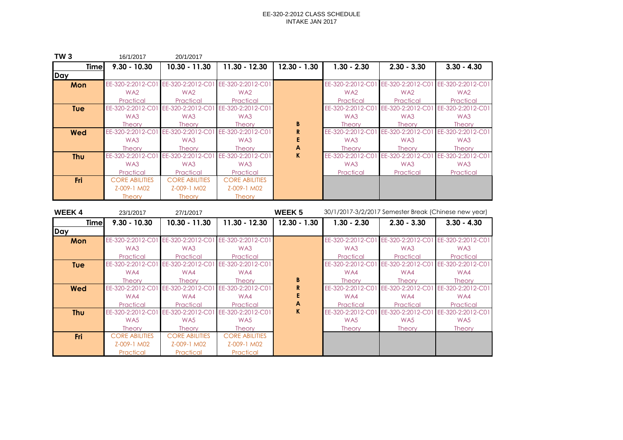| <b>TW3</b>  | 16/1/2017             | 20/1/2017             |                       |                |                   |                                                       |                   |
|-------------|-----------------------|-----------------------|-----------------------|----------------|-------------------|-------------------------------------------------------|-------------------|
| <b>Time</b> | $9.30 - 10.30$        | $10.30 - 11.30$       | $11.30 - 12.30$       | $12.30 - 1.30$ | $1.30 - 2.30$     | $2.30 - 3.30$                                         | $3.30 - 4.30$     |
| <b>Day</b>  |                       |                       |                       |                |                   |                                                       |                   |
| Mon         | EE-320-2:2012-C01     | EE-320-2:2012-C01     | EE-320-2:2012-C01     |                |                   | EE-320-2:2012-C01 EE-320-2:2012-C01 EE-320-2:2012-C01 |                   |
|             | WA <sub>2</sub>       | WA <sub>2</sub>       | WA <sub>2</sub>       |                | WA <sub>2</sub>   | WA <sub>2</sub>                                       | WA <sub>2</sub>   |
|             | Practical             | Practical             | Practical             |                | Practical         | Practical                                             | Practical         |
| <b>Tue</b>  | EE-320-2:2012-C0      | EE-320-2:2012-C0      | EE-320-2:2012-C01     |                | EE-320-2:2012-C01 | EE-320-2:2012-C01                                     | EE-320-2:2012-C01 |
|             | WA3                   | WA3                   | WA3                   |                | WA3               | WA3                                                   | WA3               |
|             | <b>Theory</b>         | <b>Theory</b>         | <b>Theory</b>         | B              | <b>Theory</b>     | <b>Theory</b>                                         | <b>Theory</b>     |
| Wed         | EE-320-2:2012-C0      | EE-320-2:2012-C0      | EE-320-2:2012-C01     | R.             | EE-320-2:2012-C01 | EE-320-2:2012-C0                                      | EE-320-2:2012-C01 |
|             | WA3                   | WA3                   | WA3                   |                | WA3               | WA3                                                   | WA3               |
|             | <b>Theory</b>         | <b>Theory</b>         | <b>Theory</b>         | A              | <b>Theory</b>     | <b>Theory</b>                                         | <b>Theory</b>     |
| <b>Thu</b>  | EE-320-2:2012-C0      | EE-320-2:2012-C0      | EE-320-2:2012-C01     | K              | EE-320-2:2012-C01 | EE-320-2:2012-C0                                      | EE-320-2:2012-C01 |
|             | WA3                   | WA3                   | WA3                   |                | WA3               | WA3                                                   | WA3               |
|             | Practical             | Practical             | Practical             |                | Practical         | Practical                                             | Practical         |
| <b>Fri</b>  | <b>CORE ABILITIES</b> | <b>CORE ABILITIES</b> | <b>CORE ABILITIES</b> |                |                   |                                                       |                   |
|             | Z-009-1 M02           | Z-009-1 M02           | Z-009-1 M02           |                |                   |                                                       |                   |
|             | <b>Theory</b>         | <b>Theory</b>         | <b>Theory</b>         |                |                   |                                                       |                   |

| <b>WEEK4</b> | 23/1/2017             | 27/1/2017             |                       | <b>WEEK 5</b>  | 30/1/2017-3/2/2017 Semester Break (Chinese new year) |                   |                   |  |  |
|--------------|-----------------------|-----------------------|-----------------------|----------------|------------------------------------------------------|-------------------|-------------------|--|--|
| <b>Timel</b> | $9.30 - 10.30$        | $10.30 - 11.30$       | $11.30 - 12.30$       | $12.30 - 1.30$ | $1.30 - 2.30$                                        | $2.30 - 3.30$     | $3.30 - 4.30$     |  |  |
| Day          |                       |                       |                       |                |                                                      |                   |                   |  |  |
| Mon          | EE-320-2:2012-C01     | EE-320-2:2012-C0      | EE-320-2:2012-C01     |                | EE-320-2:2012-C01                                    | EE-320-2:2012-C01 | EE-320-2:2012-C01 |  |  |
|              | WA3                   | WA3                   | WA3                   |                | WA3                                                  | WA3               | WA3               |  |  |
|              | Practical             | Practical             | Practical             |                | Practical                                            | Practical         | Practical         |  |  |
| <b>Tue</b>   | EE-320-2:2012-C01     | EE-320-2:2012-C0      | EE-320-2:2012-C01     |                | EE-320-2:2012-C01                                    | EE-320-2:2012-C01 | EE-320-2:2012-C01 |  |  |
|              | WA4                   | WA4                   | WA4                   |                | WA4                                                  | WA4               | WA4               |  |  |
|              | <b>Theory</b>         | <b>Theory</b>         | <b>Theory</b>         | B              | <b>Theory</b>                                        | <b>Theory</b>     | <b>Theory</b>     |  |  |
| <b>Wed</b>   | EE-320-2:2012-C01     | EE-320-2:2012-C0      | EE-320-2:2012-C01     | R              | EE-320-2:2012-C01                                    | EE-320-2:2012-C01 | EE-320-2:2012-C01 |  |  |
|              | WA4                   | WA4                   | WA4                   |                | WA4                                                  | WA4               | WA4               |  |  |
|              | Practical             | Practical             | Practical             | A              | Practical                                            | Practical         | Practical         |  |  |
| <b>Thu</b>   | EE-320-2:2012-C01     | EE-320-2:2012-C0      | EE-320-2:2012-C01     | K.             | EE-320-2:2012-C01                                    | EE-320-2:2012-C01 | EE-320-2:2012-C01 |  |  |
|              | WA5                   | WA <sub>5</sub>       | WA5                   |                | WA5                                                  | WA5               | WA5               |  |  |
|              | <b>Theory</b>         | <b>Theory</b>         | <b>Theory</b>         |                | <b>Theory</b>                                        | <b>Theory</b>     | <b>Theory</b>     |  |  |
| Fri          | <b>CORE ABILITIES</b> | <b>CORE ABILITIES</b> | <b>CORE ABILITIES</b> |                |                                                      |                   |                   |  |  |
|              | Z-009-1 M02           | Z-009-1 M02           | Z-009-1 M02           |                |                                                      |                   |                   |  |  |
|              | Practical             | Practical             | Practical             |                |                                                      |                   |                   |  |  |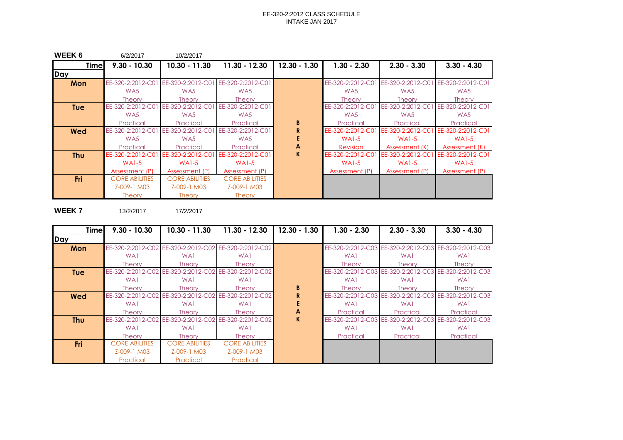| <b>WEEK 6</b> | 6/2/2017                            | 10/2/2017                           |                       |                |                   |                                                       |                   |
|---------------|-------------------------------------|-------------------------------------|-----------------------|----------------|-------------------|-------------------------------------------------------|-------------------|
| <b>Time</b>   | $9.30 - 10.30$                      | $10.30 - 11.30$                     | 11.30 - 12.30         | $12.30 - 1.30$ | $1.30 - 2.30$     | $2.30 - 3.30$                                         | $3.30 - 4.30$     |
| <b>IDay</b>   |                                     |                                     |                       |                |                   |                                                       |                   |
| Mon           |                                     | EE-320-2:2012-C01 EE-320-2:2012-C01 | EE-320-2:2012-C01     |                |                   | EE-320-2:2012-C01 EE-320-2:2012-C01 EE-320-2:2012-C01 |                   |
|               | WA5                                 | WA5                                 | WA5                   |                | WA5               | WA5                                                   | WA <sub>5</sub>   |
|               | <b>Theory</b>                       | <b>Theory</b>                       | <b>Theory</b>         |                | <b>Theory</b>     | Theory                                                | <b>Theory</b>     |
| <b>Tue</b>    | EE-320-2:2012-C01 EE-320-2:2012-C01 |                                     | EE-320-2:2012-C01     |                | EE-320-2:2012-C01 | EE-320-2:2012-C01                                     | EE-320-2:2012-C01 |
|               | WA5                                 | WA5                                 | WA5                   |                | WA5               | WA5                                                   | WA5               |
|               | Practical                           | Practical                           | Practical             | B              | Practical         | Practical                                             | Practical         |
| <b>Wed</b>    | EE-320-2:2012-C01 EE-320-2:2012-C01 |                                     | EE-320-2:2012-C01     |                |                   | EE-320-2:2012-C01 EE-320-2:2012-C01                   | EE-320-2:2012-C01 |
|               | WA5                                 | WA5                                 | WA5                   |                | $WA1-5$           | $WA1-5$                                               | $WA1-5$           |
|               | Practical                           | Practical                           | Practical             | A              | <b>Revision</b>   | Assessment (K)                                        | Assessment (K)    |
| <b>Thu</b>    |                                     | EE-320-2:2012-C01 EE-320-2:2012-C01 | EE-320-2:2012-C01     | $\mathbf K$    | EE-320-2:2012-C01 | EE-320-2:2012-C01                                     | EE-320-2:2012-C01 |
|               | $WA1-5$                             | $WA1-5$                             | $WA1-5$               |                | $WA1-5$           | $WA1-5$                                               | $WA1-5$           |
|               | Assessment (P)                      | Assessment (P)                      | Assessment (P)        |                | Assessment (P)    | Assessment (P)                                        | Assessment (P)    |
| Fri           | <b>CORE ABILITIES</b>               | <b>CORE ABILITIES</b>               | <b>CORE ABILITIES</b> |                |                   |                                                       |                   |
|               | Z-009-1 M03                         | Z-009-1 M03                         | Z-009-1 M03           |                |                   |                                                       |                   |
|               | <b>Theory</b>                       | <b>Theory</b>                       | <b>Theory</b>         |                |                   |                                                       |                   |

**WEEK 7** 13/2/2017 17/2/2017

| <b>Timel</b> | $9.30 - 10.30$        | $10.30 - 11.30$                                       | $11.30 - 12.30$       | $12.30 - 1.30$ | $1.30 - 2.30$     | $2.30 - 3.30$ | $3.30 - 4.30$                                         |
|--------------|-----------------------|-------------------------------------------------------|-----------------------|----------------|-------------------|---------------|-------------------------------------------------------|
| Day          |                       |                                                       |                       |                |                   |               |                                                       |
| Mon          |                       | EE-320-2:2012-C02 EE-320-2:2012-C02 EE-320-2:2012-C02 |                       |                |                   |               | EE-320-2:2012-C03 EE-320-2:2012-C03 EE-320-2:2012-C03 |
|              | WA1                   | WA1                                                   | WA1                   |                | WA1               | WA1           | WA1                                                   |
|              | <b>Theory</b>         | Theory                                                | <b>Theory</b>         |                | Theory            | <b>Theory</b> | <b>Theory</b>                                         |
| <b>Tue</b>   |                       | EE-320-2:2012-C02 EE-320-2:2012-C02 EE-320-2:2012-C02 |                       |                |                   |               | EE-320-2:2012-C03 EE-320-2:2012-C03 EE-320-2:2012-C03 |
|              | WA1                   | WA1                                                   | WA1                   |                | WA1               | WA1           | WA1                                                   |
|              | <b>Theory</b>         | <b>Theory</b>                                         | Theory                | B              | Theory            | <b>Theory</b> | <b>Theory</b>                                         |
| <b>Wed</b>   |                       | EE-320-2:2012-C02 EE-320-2:2012-C02 EE-320-2:2012-C02 |                       | R              | EE-320-2:2012-C03 |               | EE-320-2:2012-C03 EE-320-2:2012-C03                   |
|              | WA1                   | WA1                                                   | WA1                   |                | WA1               | WA1           | WA1                                                   |
|              | <b>Theory</b>         | <b>Theory</b>                                         | <b>Theory</b>         | A              | Practical         | Practical     | Practical                                             |
| <b>Thu</b>   | EE-320-2:2012-C02     | EE-320-2:2012-C02 EE-320-2:2012-C02                   |                       | $\mathbf K$    | EE-320-2:2012-C03 |               | EE-320-2:2012-C03 EE-320-2:2012-C03                   |
|              | WA1                   | WA1                                                   | WA1                   |                | WA1               | WA1           | WA1                                                   |
|              | <b>Theory</b>         | <b>Theory</b>                                         | <b>Theory</b>         |                | Practical         | Practical     | Practical                                             |
| <b>Fri</b>   | <b>CORE ABILITIES</b> | <b>CORE ABILITIES</b>                                 | <b>CORE ABILITIES</b> |                |                   |               |                                                       |
|              | Z-009-1 M03           | Z-009-1 M03                                           | Z-009-1 M03           |                |                   |               |                                                       |
|              | Practical             | Practical                                             | Practical             |                |                   |               |                                                       |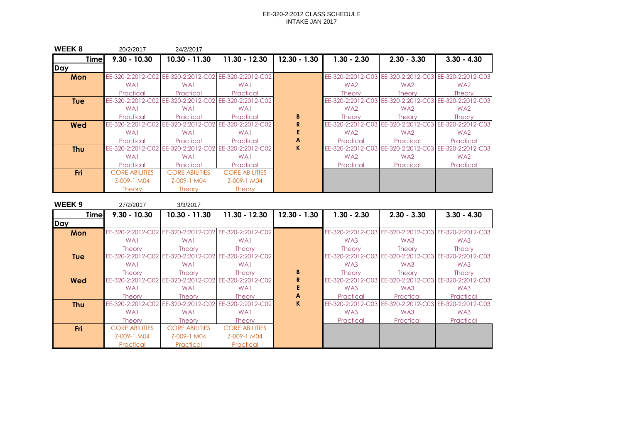| WEEK 8      | 20/2/2017             | 24/2/2017             |                                                       |                |                 |                                     |                                                       |
|-------------|-----------------------|-----------------------|-------------------------------------------------------|----------------|-----------------|-------------------------------------|-------------------------------------------------------|
| <b>Time</b> | $9.30 - 10.30$        | $10.30 - 11.30$       | $11.30 - 12.30$                                       | $12.30 - 1.30$ | $1.30 - 2.30$   | $2.30 - 3.30$                       | $3.30 - 4.30$                                         |
| Day         |                       |                       |                                                       |                |                 |                                     |                                                       |
| Mon         |                       |                       | EE-320-2:2012-C02 EE-320-2:2012-C02 EE-320-2:2012-C02 |                |                 |                                     | EE-320-2:2012-C03 EE-320-2:2012-C03 EE-320-2:2012-C03 |
|             | WA1                   | WA1                   | WA <sub>1</sub>                                       |                | WA <sub>2</sub> | WA2                                 | WA <sub>2</sub>                                       |
|             | Practical             | Practical             | Practical                                             |                | <b>Theory</b>   | <b>Theory</b>                       | <b>Theory</b>                                         |
| <b>Tue</b>  |                       |                       | EE-320-2:2012-C02 EE-320-2:2012-C02 EE-320-2:2012-C02 |                |                 |                                     | EE-320-2:2012-C03 EE-320-2:2012-C03 EE-320-2:2012-C03 |
|             | WA1                   | WA1                   | WA1                                                   |                | WA <sub>2</sub> | WA2                                 | WA <sub>2</sub>                                       |
|             | Practical             | Practical             | Practical                                             | B              | <b>Theory</b>   | <b>Theory</b>                       | <b>Theory</b>                                         |
| Wed         |                       |                       | EE-320-2:2012-C02 EE-320-2:2012-C02 EE-320-2:2012-C02 | R              |                 | EE-320-2:2012-C03 EE-320-2:2012-C03 | EE-320-2:2012-C03                                     |
|             | WA1                   | WA <sub>1</sub>       | WA <sub>1</sub>                                       |                | WA <sub>2</sub> | WA <sub>2</sub>                     | WA <sub>2</sub>                                       |
|             | Practical             | Practical             | Practical                                             | A              | Practical       | Practical                           | Practical                                             |
| <b>Thu</b>  | EE-320-2:2012-C02     | EE-320-2:2012-C02     | EE-320-2:2012-C02                                     | K.             |                 | EE-320-2:2012-C03 EE-320-2:2012-C03 | EE-320-2:2012-C03                                     |
|             | WA1                   | WA1                   | WA1                                                   |                | WA <sub>2</sub> | WA <sub>2</sub>                     | WA <sub>2</sub>                                       |
|             | Practical             | Practical             | Practical                                             |                | Practical       | Practical                           | Practical                                             |
| <b>Fri</b>  | <b>CORE ABILITIES</b> | <b>CORE ABILITIES</b> | <b>CORE ABILITIES</b>                                 |                |                 |                                     |                                                       |
|             | Z-009-1 M04           | Z-009-1 M04           | Z-009-1 M04                                           |                |                 |                                     |                                                       |
|             | <b>Theory</b>         | <b>Theory</b>         | <b>Theory</b>                                         |                |                 |                                     |                                                       |

| WEEK <sub>9</sub> | 27/2/2017             | 3/3/2017              |                                                       |                |                   |                   |                                                       |
|-------------------|-----------------------|-----------------------|-------------------------------------------------------|----------------|-------------------|-------------------|-------------------------------------------------------|
| <b>Timel</b>      | $9.30 - 10.30$        | 10.30 - 11.30         | $11.30 - 12.30$                                       | $12.30 - 1.30$ | $1.30 - 2.30$     | $2.30 - 3.30$     | $3.30 - 4.30$                                         |
| Day               |                       |                       |                                                       |                |                   |                   |                                                       |
| Mon               |                       |                       | EE-320-2:2012-C02 EE-320-2:2012-C02 EE-320-2:2012-C02 |                |                   |                   | EE-320-2:2012-C03 EE-320-2:2012-C03 EE-320-2:2012-C03 |
|                   | WA1                   | WA1                   | WA1                                                   |                | WA3               | WA3               | WA3                                                   |
|                   | <b>Theory</b>         | <b>Theory</b>         | <b>Theory</b>                                         |                | <b>Theory</b>     | <b>Theory</b>     | <b>Theory</b>                                         |
| <b>Tue</b>        |                       |                       | EE-320-2:2012-C02 EE-320-2:2012-C02 EE-320-2:2012-C02 |                |                   |                   | EE-320-2:2012-C03 EE-320-2:2012-C03 EE-320-2:2012-C03 |
|                   | WA <sub>1</sub>       | WA1                   | WA1                                                   |                | WA3               | WA3               | WA3                                                   |
|                   | <b>Theory</b>         | <b>Theory</b>         | <b>Theory</b>                                         | B              | <b>Theory</b>     | <b>Theory</b>     | <b>Theory</b>                                         |
| Wed               |                       |                       | EE-320-2:2012-C02 EE-320-2:2012-C02 EE-320-2:2012-C02 |                |                   |                   | EE-320-2:2012-C03 EE-320-2:2012-C03 EE-320-2:2012-C03 |
|                   | WA1                   | WA1                   | WA1                                                   |                | WA3               | WA3               | WA3                                                   |
|                   | <b>Theory</b>         | <b>Theory</b>         | <b>Theory</b>                                         | A              | Practical         | Practical         | Practical                                             |
| <b>Thu</b>        | EE-320-2:2012-C02     | EE-320-2:2012-C02     | EE-320-2:2012-C02                                     | K              | EE-320-2:2012-C03 | EE-320-2:2012-C03 | EE-320-2:2012-C03                                     |
|                   | WA <sub>1</sub>       | WA1                   | WA <sub>1</sub>                                       |                | WA3               | WA3               | WA3                                                   |
|                   | <b>Theory</b>         | <b>Theory</b>         | <b>Theory</b>                                         |                | Practical         | Practical         | Practical                                             |
| <b>Fri</b>        | <b>CORE ABILITIES</b> | <b>CORE ABILITIES</b> | <b>CORE ABILITIES</b>                                 |                |                   |                   |                                                       |
|                   | Z-009-1 M04           | Z-009-1 M04           | Z-009-1 M04                                           |                |                   |                   |                                                       |
|                   | Practical             | Practical             | Practical                                             |                |                   |                   |                                                       |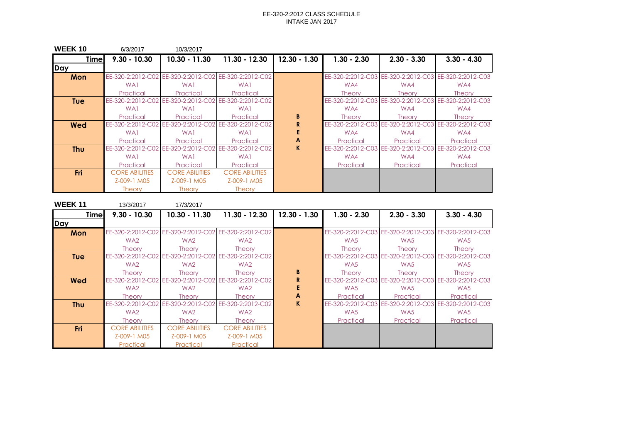| <b>WEEK10</b> | 6/3/2017              | 10/3/2017                                             |                                     |                |                   |                                     |                                                       |
|---------------|-----------------------|-------------------------------------------------------|-------------------------------------|----------------|-------------------|-------------------------------------|-------------------------------------------------------|
| <b>Time</b>   | $9.30 - 10.30$        | $10.30 - 11.30$                                       | $11.30 - 12.30$                     | $12.30 - 1.30$ | $1.30 - 2.30$     | $2.30 - 3.30$                       | $3.30 - 4.30$                                         |
| Day           |                       |                                                       |                                     |                |                   |                                     |                                                       |
| Mon           |                       | EE-320-2:2012-C02 EE-320-2:2012-C02 EE-320-2:2012-C02 |                                     |                |                   |                                     | EE-320-2:2012-C03 EE-320-2:2012-C03 EE-320-2:2012-C03 |
|               | WA1                   | WA <sub>1</sub>                                       | WA <sub>1</sub>                     |                | WA4               | WA4                                 | WA4                                                   |
|               | Practical             | Practical                                             | Practical                           |                | <b>Theory</b>     | <b>Theory</b>                       | <b>Theory</b>                                         |
| <b>Tue</b>    | EE-320-2:2012-C02     |                                                       | EE-320-2:2012-C02 EE-320-2:2012-C02 |                |                   | EE-320-2:2012-C03 EE-320-2:2012-C03 | EE-320-2:2012-C03                                     |
|               | WA1                   | WA1                                                   | WA1                                 |                | WA4               | WA4                                 | WA4                                                   |
|               | Practical             | Practical                                             | Practical                           | B              | <b>Theory</b>     | <b>Theory</b>                       | <b>Theory</b>                                         |
| Wed           | EE-320-2:2012-C02     | EE-320-2:2012-C02                                     | EE-320-2:2012-C02                   | R              |                   | EE-320-2:2012-C03 EE-320-2:2012-C03 | EE-320-2:2012-C03                                     |
|               | WA1                   | WA1                                                   | WA1                                 |                | WA4               | WA4                                 | WA4                                                   |
|               | Practical             | Practical                                             | Practical                           | A              | Practical         | Practical                           | Practical                                             |
| <b>Thu</b>    | EE-320-2:2012-C02     | EE-320-2:2012-C02                                     | EE-320-2:2012-C02                   | K.             | EE-320-2:2012-C03 | EE-320-2:2012-C03                   | EE-320-2:2012-C03                                     |
|               | WA1                   | WA1                                                   | WA1                                 |                | WA4               | WA4                                 | WA4                                                   |
|               | Practical             | Practical                                             | Practical                           |                | Practical         | Practical                           | Practical                                             |
| Fri           | <b>CORE ABILITIES</b> | <b>CORE ABILITIES</b>                                 | <b>CORE ABILITIES</b>               |                |                   |                                     |                                                       |
|               | Z-009-1 M05           | Z-009-1 M05                                           | Z-009-1 M05                         |                |                   |                                     |                                                       |
|               | <b>Theory</b>         | <b>Theory</b>                                         | <b>Theory</b>                       |                |                   |                                     |                                                       |

| <b>WEEK11</b> | 13/3/2017             | 17/3/2017                                             |                                     |                |                   |                       |                                                       |
|---------------|-----------------------|-------------------------------------------------------|-------------------------------------|----------------|-------------------|-----------------------|-------------------------------------------------------|
| <b>Time</b>   | $9.30 - 10.30$        | 10.30 - 11.30                                         | $11.30 - 12.30$                     | $12.30 - 1.30$ | $1.30 - 2.30$     | $2.30 - 3.30$         | $3.30 - 4.30$                                         |
| Day           |                       |                                                       |                                     |                |                   |                       |                                                       |
| Mon           |                       | EE-320-2:2012-C02 EE-320-2:2012-C02 EE-320-2:2012-C02 |                                     |                |                   |                       | EE-320-2:2012-C03 EE-320-2:2012-C03 EE-320-2:2012-C03 |
|               | WA <sub>2</sub>       | WA <sub>2</sub>                                       | WA2                                 |                | WA <sub>5</sub>   | WA5                   | WA5                                                   |
|               | <b>Theory</b>         | Theory                                                | <b>Theory</b>                       |                | <b>Theory</b>     | <b>Theory</b>         | <b>Theory</b>                                         |
| <b>Tue</b>    | EE-320-2:2012-C02     |                                                       | EE-320-2:2012-C02 EE-320-2:2012-C02 |                |                   |                       | EE-320-2:2012-C03 EE-320-2:2012-C03 EE-320-2:2012-C03 |
|               | WA <sub>2</sub>       | WA <sub>2</sub>                                       | WA2                                 |                | WA <sub>5</sub>   | WA5                   | WA5                                                   |
|               | <b>Theory</b>         | Theory                                                | <b>Theory</b>                       | B              | <b>Theory</b>     | <b>Theory</b>         | <b>Theory</b>                                         |
| Wed           | EE-320-2:2012-C02     | EE-320-2:2012-C02                                     | EE-320-2:2012-C02                   | R              | EE-320-2:2012-C03 | EE-320-2:2012-C03     | EE-320-2:2012-C03                                     |
|               | WA <sub>2</sub>       | WA <sub>2</sub>                                       | WA2                                 |                | WA5               | WA5                   | WA5                                                   |
|               | <b>Theory</b>         | <b>Theory</b>                                         | <b>Theory</b>                       | A              | Practical         | Practical             | Practical                                             |
| <b>Thu</b>    | EE-320-2:2012-C02     | EE-320-2:2012-C02                                     | EE-320-2:2012-C02                   | K.             | EE-320-2:2012-C03 | EE-320-2:2012-C<br>ገ3 | EE-320-2:2012-C03                                     |
|               | WA <sub>2</sub>       | WA <sub>2</sub>                                       | WA2                                 |                | WA5               | WA5                   | WA5                                                   |
|               | <b>Theory</b>         | <b>Theory</b>                                         | <b>Theory</b>                       |                | Practical         | Practical             | Practical                                             |
| <b>Fri</b>    | <b>CORE ABILITIES</b> | <b>CORE ABILITIES</b>                                 | <b>CORE ABILITIES</b>               |                |                   |                       |                                                       |
|               | Z-009-1 M05           | Z-009-1 M05                                           | Z-009-1 M05                         |                |                   |                       |                                                       |
|               | Practical             | Practical                                             | Practical                           |                |                   |                       |                                                       |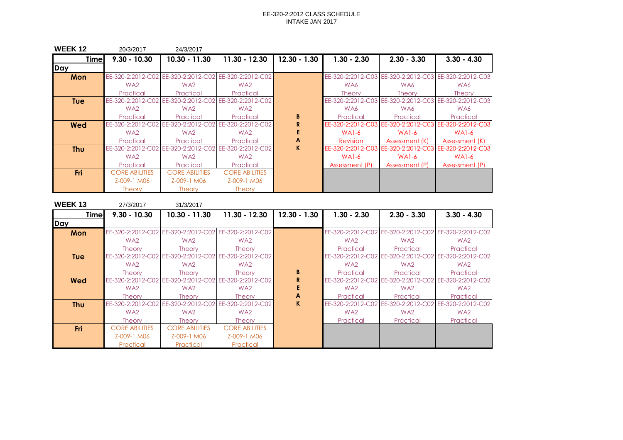| <b>WEEK12</b> | 20/3/2017             | 24/3/2017                                             |                                     |                |                   |                   |                                                       |
|---------------|-----------------------|-------------------------------------------------------|-------------------------------------|----------------|-------------------|-------------------|-------------------------------------------------------|
| <b>Time</b>   | $9.30 - 10.30$        | 10.30 - 11.30                                         | 11.30 - 12.30                       | $12.30 - 1.30$ | $1.30 - 2.30$     | $2.30 - 3.30$     | $3.30 - 4.30$                                         |
| Day           |                       |                                                       |                                     |                |                   |                   |                                                       |
| Mon           |                       | EE-320-2:2012-C02 EE-320-2:2012-C02 EE-320-2:2012-C02 |                                     |                |                   |                   | EE-320-2:2012-C03 EE-320-2:2012-C03 EE-320-2:2012-C03 |
|               | WA <sub>2</sub>       | WA <sub>2</sub>                                       | WA2                                 |                | WA6               | WA6               | WA6                                                   |
|               | Practical             | Practical                                             | Practical                           |                | <b>Theory</b>     | <b>Theory</b>     | <b>Theory</b>                                         |
| <b>Tue</b>    | EE-320-2:2012-C02     |                                                       | EE-320-2:2012-C02 EE-320-2:2012-C02 |                |                   |                   | EE-320-2:2012-C03 EE-320-2:2012-C03 EE-320-2:2012-C03 |
|               | WA <sub>2</sub>       | WA <sub>2</sub>                                       | WA2                                 |                | WA6               | WA6               | WA6                                                   |
|               | Practical             | Practical                                             | Practical                           | B              | Practical         | Practical         | Practical                                             |
| Wed           | EE-320-2:2012-C02     | EE-320-2:2012-C02                                     | EE-320-2:2012-C02                   | R              | EE-320-2:2012-C03 | EE-320-2:2012-C03 | EE-320-2:2012-C03                                     |
|               | WA <sub>2</sub>       | WA <sub>2</sub>                                       | WA2                                 |                | WAI-6             | $WA1-6$           | $WA1-6$                                               |
|               | Practical             | Practical                                             | Practical                           | A              | <b>Revision</b>   | Assessment (K)    | Assessment (K)                                        |
| <b>Thu</b>    | EE-320-2:2012-C02     | EE-320-2:2012-C02                                     | EE-320-2:2012-C02                   | K.             | EE-320-2:2012-C03 |                   | EE-320-2:2012-C03 EE-320-2:2012-C03                   |
|               | WA <sub>2</sub>       | WA <sub>2</sub>                                       | WA2                                 |                | <b>WA1-6</b>      | $WA1-6$           | <b>WA1-6</b>                                          |
|               | Practical             | Practical                                             | Practical                           |                | Assessment (P)    | Assessment (P)    | Assessment (P)                                        |
| <b>Fri</b>    | <b>CORE ABILITIES</b> | <b>CORE ABILITIES</b>                                 | <b>CORE ABILITIES</b>               |                |                   |                   |                                                       |
|               | Z-009-1 M06           | Z-009-1 M06                                           | Z-009-1 M06                         |                |                   |                   |                                                       |
|               | <b>Theory</b>         | <b>Theory</b>                                         | <b>Theory</b>                       |                |                   |                   |                                                       |

| <b>WEEK13</b> | 27/3/2017             | 31/3/2017                                             |                       |                |                   |                                     |                                                       |
|---------------|-----------------------|-------------------------------------------------------|-----------------------|----------------|-------------------|-------------------------------------|-------------------------------------------------------|
| <b>Time</b>   | $9.30 - 10.30$        | $10.30 - 11.30$                                       | 11.30 - 12.30         | $12.30 - 1.30$ | $1.30 - 2.30$     | $2.30 - 3.30$                       | $3.30 - 4.30$                                         |
| Day           |                       |                                                       |                       |                |                   |                                     |                                                       |
| Mon           |                       | EE-320-2:2012-C02 EE-320-2:2012-C02 EE-320-2:2012-C02 |                       |                |                   |                                     | EE-320-2:2012-C02 EE-320-2:2012-C02 EE-320-2:2012-C02 |
|               | WA <sub>2</sub>       | WA <sub>2</sub>                                       | WA2                   |                | WA <sub>2</sub>   | WA <sub>2</sub>                     | WA <sub>2</sub>                                       |
|               | <b>Theory</b>         | <b>Theory</b>                                         | <b>Theory</b>         |                | Practical         | Practical                           | Practical                                             |
| <b>Tue</b>    |                       | EE-320-2:2012-C02 EE-320-2:2012-C02 EE-320-2:2012-C02 |                       |                |                   | EE-320-2:2012-C02 EE-320-2:2012-C02 | EE-320-2:2012-C02                                     |
|               | WA <sub>2</sub>       | WA <sub>2</sub>                                       | WA2                   |                | WA <sub>2</sub>   | WA <sub>2</sub>                     | WA <sub>2</sub>                                       |
|               | <b>Theory</b>         | <b>Theory</b>                                         | <b>Theory</b>         | B              | Practical         | Practical                           | Practical                                             |
| <b>Wed</b>    |                       | EE-320-2:2012-C02 EE-320-2:2012-C02                   | EE-320-2:2012-C02     | R              | EE-320-2:2012-C02 | EE-320-2:2012-C02                   | EE-320-2:2012-C02                                     |
|               | WA <sub>2</sub>       | WA2                                                   | WA2                   |                | WA <sub>2</sub>   | WA2                                 | WA <sub>2</sub>                                       |
|               | <b>Theory</b>         | <b>Theory</b>                                         | <b>Theory</b>         | A              | Practical         | Practical                           | Practical                                             |
| <b>Thu</b>    |                       | EE-320-2:2012-C02 EE-320-2:2012-C02 EE-320-2:2012-C02 |                       | K              | EE-320-2:2012-C02 | EE-320-2:2012-C02                   | EE-320-2:2012-C02                                     |
|               | WA <sub>2</sub>       | WA <sub>2</sub>                                       | WA <sub>2</sub>       |                | WA <sub>2</sub>   | WA <sub>2</sub>                     | WA <sub>2</sub>                                       |
|               | <b>Theory</b>         | <b>Theory</b>                                         | <b>Theory</b>         |                | Practical         | Practical                           | Practical                                             |
| Fri           | <b>CORE ABILITIES</b> | <b>CORE ABILITIES</b>                                 | <b>CORE ABILITIES</b> |                |                   |                                     |                                                       |
|               | Z-009-1 M06           | Z-009-1 M06                                           | Z-009-1 M06           |                |                   |                                     |                                                       |
|               | Practical             | Practical                                             | Practical             |                |                   |                                     |                                                       |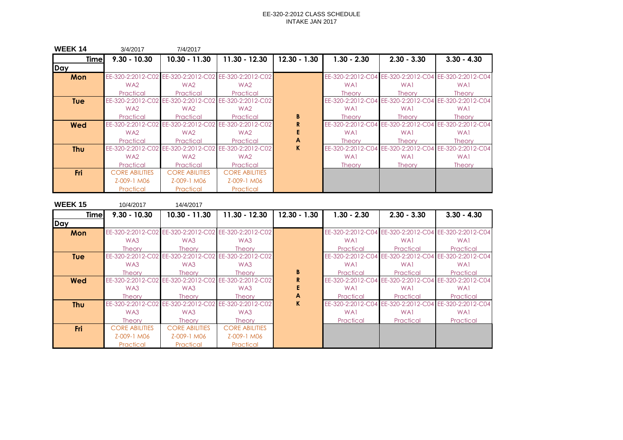| <b>WEEK 14</b> | 3/4/2017              | 7/4/2017                                              |                                                       |                |                   |               |                                                       |
|----------------|-----------------------|-------------------------------------------------------|-------------------------------------------------------|----------------|-------------------|---------------|-------------------------------------------------------|
| <b>Timel</b>   | $9.30 - 10.30$        | $10.30 - 11.30$                                       | 11.30 - 12.30                                         | $12.30 - 1.30$ | $1.30 - 2.30$     | $2.30 - 3.30$ | $3.30 - 4.30$                                         |
| Day            |                       |                                                       |                                                       |                |                   |               |                                                       |
| Mon            |                       | EE-320-2:2012-C02 EE-320-2:2012-C02 EE-320-2:2012-C02 |                                                       |                |                   |               | EE-320-2:2012-C04 EE-320-2:2012-C04 EE-320-2:2012-C04 |
|                | WA <sub>2</sub>       | WA <sub>2</sub>                                       | WA <sub>2</sub>                                       |                | WA1               | WA1           | WA1                                                   |
|                | Practical             | Practical                                             | Practical                                             |                | <b>Theory</b>     | <b>Theory</b> | <b>Theory</b>                                         |
| <b>Tue</b>     |                       | EE-320-2:2012-C02 EE-320-2:2012-C02 EE-320-2:2012-C02 |                                                       |                |                   |               | EE-320-2:2012-C04 EE-320-2:2012-C04 EE-320-2:2012-C04 |
|                | WA <sub>2</sub>       | WA <sub>2</sub>                                       | WA <sub>2</sub>                                       |                | WA1               | WA1           | WA1                                                   |
|                | Practical             | Practical                                             | Practical                                             | B              | <b>Theory</b>     | <b>Theory</b> | <b>Theory</b>                                         |
| Wed            |                       |                                                       | EE-320-2:2012-C02 EE-320-2:2012-C02 EE-320-2:2012-C02 |                |                   |               | EE-320-2:2012-C04 EE-320-2:2012-C04 EE-320-2:2012-C04 |
|                | WA <sub>2</sub>       | WA <sub>2</sub>                                       | WA <sub>2</sub>                                       |                | WA1               | WA1           | WA1                                                   |
|                | Practical             | Practical                                             | Practical                                             | A              | <b>Theory</b>     | <b>Theory</b> | <b>Theory</b>                                         |
| <b>Thu</b>     | EE-320-2:2012-C02     |                                                       | EE-320-2:2012-C02 EE-320-2:2012-C02                   | $\mathbf K$    | EE-320-2:2012-C04 |               | EE-320-2:2012-C04 EE-320-2:2012-C04                   |
|                | WA <sub>2</sub>       | WA <sub>2</sub>                                       | WA <sub>2</sub>                                       |                | WA1               | WA1           | WA1                                                   |
|                | Practical             | Practical                                             | Practical                                             |                | <b>Theory</b>     | <b>Theory</b> | <b>Theory</b>                                         |
| <b>Fri</b>     | <b>CORE ABILITIES</b> | <b>CORE ABILITIES</b>                                 | <b>CORE ABILITIES</b>                                 |                |                   |               |                                                       |
|                | Z-009-1 M06           | Z-009-1 M06                                           | Z-009-1 M06                                           |                |                   |               |                                                       |
|                | Practical             | Practical                                             | Practical                                             |                |                   |               |                                                       |

| <b>WEEK15</b> | 10/4/2017             | 14/4/2017             |                                                       |                |                   |               |                                                       |
|---------------|-----------------------|-----------------------|-------------------------------------------------------|----------------|-------------------|---------------|-------------------------------------------------------|
| <b>Time</b>   | $9.30 - 10.30$        | $10.30 - 11.30$       | 11.30 - 12.30                                         | $12.30 - 1.30$ | $1.30 - 2.30$     | $2.30 - 3.30$ | $3.30 - 4.30$                                         |
| Day           |                       |                       |                                                       |                |                   |               |                                                       |
| Mon           |                       |                       | EE-320-2:2012-C02 EE-320-2:2012-C02 EE-320-2:2012-C02 |                |                   |               | EE-320-2:2012-C04 EE-320-2:2012-C04 EE-320-2:2012-C04 |
|               | WA3                   | WA3                   | WA3                                                   |                | WA1               | WA1           | WA1                                                   |
|               | <b>Theory</b>         | <b>Theory</b>         | <b>Theory</b>                                         |                | Practical         | Practical     | Practical                                             |
| <b>Tue</b>    |                       |                       | EE-320-2:2012-C02 EE-320-2:2012-C02 EE-320-2:2012-C02 |                |                   |               | EE-320-2:2012-C04 EE-320-2:2012-C04 EE-320-2:2012-C04 |
|               | WA3                   | WA3                   | WA3                                                   |                | WA1               | WA1           | WA1                                                   |
|               | <b>Theory</b>         | <b>Theory</b>         | <b>Theory</b>                                         | B              | Practical         | Practical     | Practical                                             |
| Wed           | EE-320-2:2012-C02     |                       | EE-320-2:2012-C02 EE-320-2:2012-C02                   | R              |                   |               | EE-320-2:2012-C04 EE-320-2:2012-C04 EE-320-2:2012-C04 |
|               | WA3                   | WA3                   | WA3                                                   |                | WA1               | WA1           | WA1                                                   |
|               | <b>Theory</b>         | <b>Theory</b>         | <b>Theory</b>                                         | A              | Practical         | Practical     | Practical                                             |
| <b>Thu</b>    | EE-320-2:2012-C02     | EE-320-2:2012-C02     | EE-320-2:2012-C02                                     | K.             | EE-320-2:2012-C04 |               | EE-320-2:2012-C04 EE-320-2:2012-C04                   |
|               | WA3                   | WA3                   | WA3                                                   |                | WA1               | WA1           | WA1                                                   |
|               | <b>Theory</b>         | <b>Theory</b>         | <b>Theory</b>                                         |                | Practical         | Practical     | Practical                                             |
| <b>Fri</b>    | <b>CORE ABILITIES</b> | <b>CORE ABILITIES</b> | <b>CORE ABILITIES</b>                                 |                |                   |               |                                                       |
|               | Z-009-1 M06           | Z-009-1 M06           | Z-009-1 M06                                           |                |                   |               |                                                       |
|               | Practical             | Practical             | Practical                                             |                |                   |               |                                                       |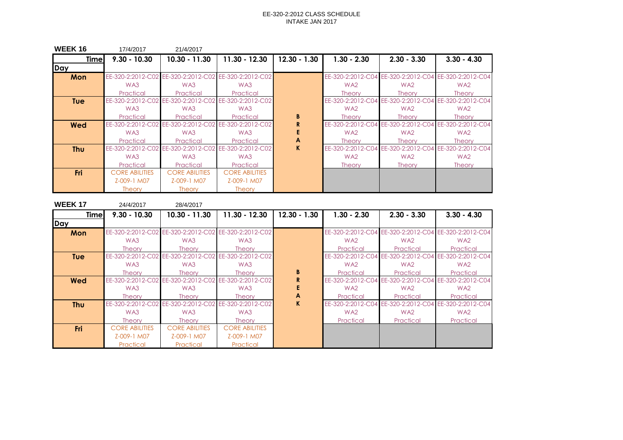| <b>WEEK16</b> | 17/4/2017             | 21/4/2017                                             |                       |                |                   |                 |                                                       |
|---------------|-----------------------|-------------------------------------------------------|-----------------------|----------------|-------------------|-----------------|-------------------------------------------------------|
| <b>Time</b>   | $9.30 - 10.30$        | 10.30 - 11.30                                         | 11.30 - 12.30         | $12.30 - 1.30$ | $1.30 - 2.30$     | $2.30 - 3.30$   | $3.30 - 4.30$                                         |
| Day           |                       |                                                       |                       |                |                   |                 |                                                       |
| Mon           |                       | EE-320-2:2012-C02 EE-320-2:2012-C02 EE-320-2:2012-C02 |                       |                |                   |                 | EE-320-2:2012-C04 EE-320-2:2012-C04 EE-320-2:2012-C04 |
|               | WA3                   | WA3                                                   | WA3                   |                | WA <sub>2</sub>   | WA2             | WA <sub>2</sub>                                       |
|               | Practical             | Practical                                             | Practical             |                | <b>Theory</b>     | <b>Theory</b>   | <b>Theory</b>                                         |
| <b>Tue</b>    | EE-320-2:2012-C02     | EE-320-2:2012-C02                                     | EE-320-2:2012-C02     |                |                   |                 | EE-320-2:2012-C04 EE-320-2:2012-C04 EE-320-2:2012-C04 |
|               | WA3                   | WA3                                                   | WA3                   |                | WA <sub>2</sub>   | WA2             | WA <sub>2</sub>                                       |
|               | Practical             | Practical                                             | Practical             | B              | <b>Theory</b>     | <b>Theory</b>   | <b>Theory</b>                                         |
| Wed           | EE-320-2:2012-C02     | EE-320-2:2012-C02                                     | EE-320-2:2012-C02     | R              |                   |                 | EE-320-2:2012-C04 EE-320-2:2012-C04 EE-320-2:2012-C04 |
|               | WA3                   | WA3                                                   | WA3                   |                | WA <sub>2</sub>   | WA <sub>2</sub> | WA <sub>2</sub>                                       |
|               | Practical             | Practical                                             | Practical             | A              | <b>Theory</b>     | <b>Theory</b>   | <b>Theory</b>                                         |
| <b>Thu</b>    | EE-320-2:2012-C02     | EE-320-2:2012-C02                                     | EE-320-2:2012-C02     | K.             | EE-320-2:2012-C04 |                 | EE-320-2:2012-C04 EE-320-2:2012-C04                   |
|               | WA3                   | WA3                                                   | WA3                   |                | WA <sub>2</sub>   | WA2             | WA <sub>2</sub>                                       |
|               | Practical             | Practical                                             | Practical             |                | <b>Theory</b>     | <b>Theory</b>   | <b>Theory</b>                                         |
| <b>Fri</b>    | <b>CORE ABILITIES</b> | <b>CORE ABILITIES</b>                                 | <b>CORE ABILITIES</b> |                |                   |                 |                                                       |
|               | Z-009-1 M07           | Z-009-1 M07                                           | Z-009-1 M07           |                |                   |                 |                                                       |
|               | <b>Theory</b>         | <b>Theory</b>                                         | <b>Theory</b>         |                |                   |                 |                                                       |

| <b>WEEK17</b> | 24/4/2017             | 28/4/2017             |                                                       |                |                   |                   |                                                       |
|---------------|-----------------------|-----------------------|-------------------------------------------------------|----------------|-------------------|-------------------|-------------------------------------------------------|
| <b>Time</b>   | $9.30 - 10.30$        | $10.30 - 11.30$       | 11.30 - 12.30                                         | $12.30 - 1.30$ | $1.30 - 2.30$     | $2.30 - 3.30$     | $3.30 - 4.30$                                         |
| <b>Day</b>    |                       |                       |                                                       |                |                   |                   |                                                       |
| Mon           |                       |                       | EE-320-2:2012-C02 EE-320-2:2012-C02 EE-320-2:2012-C02 |                |                   |                   | EE-320-2:2012-C04 EE-320-2:2012-C04 EE-320-2:2012-C04 |
|               | WA3                   | WA3                   | WA3                                                   |                | WA <sub>2</sub>   | WA2               | WA <sub>2</sub>                                       |
|               | <b>Theory</b>         | <b>Theory</b>         | <b>Theory</b>                                         |                | Practical         | Practical         | Practical                                             |
| <b>Tue</b>    | EE-320-2:2012-C02     |                       | EE-320-2:2012-C02 EE-320-2:2012-C02                   |                | EE-320-2:2012-C04 |                   | EE-320-2:2012-C04 EE-320-2:2012-C04                   |
|               | WA3                   | WA3                   | WA3                                                   |                | WA <sub>2</sub>   | WA2               | WA <sub>2</sub>                                       |
|               | <b>Theory</b>         | <b>Theory</b>         | <b>Theory</b>                                         | B              | Practical         | Practical         | Practical                                             |
| Wed           | EE-320-2:2012-C02     |                       | EE-320-2:2012-C02 EE-320-2:2012-C02                   |                | EE-320-2:2012-C04 |                   | EE-320-2:2012-C04 EE-320-2:2012-C04                   |
|               | WA3                   | WA3                   | WA3                                                   |                | WA <sub>2</sub>   | WA2               | WA <sub>2</sub>                                       |
|               | <b>Theory</b>         | <b>Theory</b>         | <b>Theory</b>                                         | A              | Practical         | Practical         | Practical                                             |
| <b>Thu</b>    | EE-320-2:2012-C02     | EE-320-2:2012-C02     | EE-320-2:2012-C02                                     | K.             | EE-320-2:2012-C04 | EE-320-2:2012-C04 | EE-320-2:2012-C04                                     |
|               | WA3                   | WA3                   | WA3                                                   |                | WA <sub>2</sub>   | WA <sub>2</sub>   | WA <sub>2</sub>                                       |
|               | Theory                | <b>Theory</b>         | <b>Theory</b>                                         |                | Practical         | Practical         | Practical                                             |
| <b>Fri</b>    | <b>CORE ABILITIES</b> | <b>CORE ABILITIES</b> | <b>CORE ABILITIES</b>                                 |                |                   |                   |                                                       |
|               | Z-009-1 M07           | Z-009-1 M07           | Z-009-1 M07                                           |                |                   |                   |                                                       |
|               | Practical             | Practical             | Practical                                             |                |                   |                   |                                                       |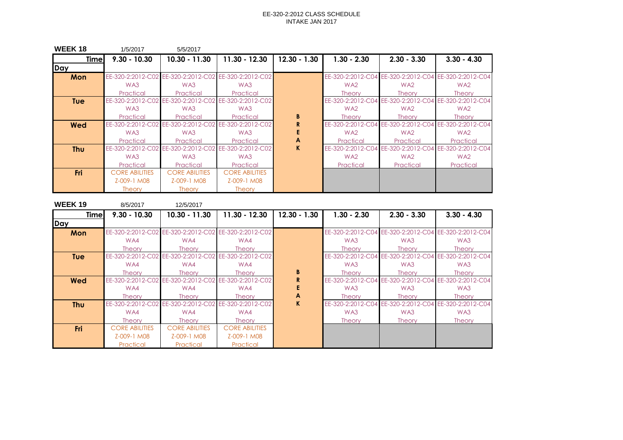| <b>WEEK18</b> | 1/5/2017              | 5/5/2017                                              |                                     |                |                   |                 |                                                       |
|---------------|-----------------------|-------------------------------------------------------|-------------------------------------|----------------|-------------------|-----------------|-------------------------------------------------------|
| <b>Time</b>   | $9.30 - 10.30$        | $10.30 - 11.30$                                       | 11.30 - 12.30                       | $12.30 - 1.30$ | $1.30 - 2.30$     | $2.30 - 3.30$   | $3.30 - 4.30$                                         |
| Day           |                       |                                                       |                                     |                |                   |                 |                                                       |
| Mon           |                       | EE-320-2:2012-C02 EE-320-2:2012-C02 EE-320-2:2012-C02 |                                     |                |                   |                 | EE-320-2:2012-C04 EE-320-2:2012-C04 EE-320-2:2012-C04 |
|               | WA3                   | WA3                                                   | WA3                                 |                | WA <sub>2</sub>   | WA <sub>2</sub> | WA <sub>2</sub>                                       |
|               | Practical             | Practical                                             | Practical                           |                | <b>Theory</b>     | <b>Theory</b>   | <b>Theory</b>                                         |
| <b>Tue</b>    | EE-320-2:2012-C02     |                                                       | EE-320-2:2012-C02 EE-320-2:2012-C02 |                | EE-320-2:2012-C04 |                 | EE-320-2:2012-C04 EE-320-2:2012-C04                   |
|               | WA3                   | WA3                                                   | WA3                                 |                | WA <sub>2</sub>   | WA2             | WA <sub>2</sub>                                       |
|               | Practical             | Practical                                             | Practical                           | B              | <b>Theory</b>     | <b>Theory</b>   | <b>Theory</b>                                         |
| Wed           | EE-320-2:2012-C02     | EE-320-2:2012-C02                                     | EE-320-2:2012-C02                   |                | EE-320-2:2012-C04 |                 | EE-320-2:2012-C04 EE-320-2:2012-C04                   |
|               | WA3                   | WA3                                                   | WA3                                 |                | WA <sub>2</sub>   | WA2             | WA <sub>2</sub>                                       |
|               | Practical             | Practical                                             | Practical                           | A              | Practical         | Practical       | Practical                                             |
| <b>Thu</b>    | EE-320-2:2012-C02     | EE-320-2:2012-C02                                     | EE-320-2:2012-C02                   | K              | EE-320-2:2012-C04 |                 | EE-320-2:2012-C04 EE-320-2:2012-C04                   |
|               | WA3                   | WA3                                                   | WA3                                 |                | WA <sub>2</sub>   | WA2             | WA <sub>2</sub>                                       |
|               | Practical             | Practical                                             | Practical                           |                | Practical         | Practical       | Practical                                             |
| Fri           | <b>CORE ABILITIES</b> | <b>CORE ABILITIES</b>                                 | <b>CORE ABILITIES</b>               |                |                   |                 |                                                       |
|               | Z-009-1 M08           | Z-009-1 M08                                           | Z-009-1 M08                         |                |                   |                 |                                                       |
|               | <b>Theory</b>         | <b>Theory</b>                                         | <b>Theory</b>                       |                |                   |                 |                                                       |

| <b>WEEK19</b> | 8/5/2017              | 12/5/2017                                             |                                                       |                |                   |                   |                                                       |
|---------------|-----------------------|-------------------------------------------------------|-------------------------------------------------------|----------------|-------------------|-------------------|-------------------------------------------------------|
| <b>Time</b>   | $9.30 - 10.30$        | $10.30 - 11.30$                                       | 11.30 - 12.30                                         | $12.30 - 1.30$ | $1.30 - 2.30$     | $2.30 - 3.30$     | $3.30 - 4.30$                                         |
| Day           |                       |                                                       |                                                       |                |                   |                   |                                                       |
| Mon           |                       | EE-320-2:2012-C02 EE-320-2:2012-C02 EE-320-2:2012-C02 |                                                       |                |                   |                   | EE-320-2:2012-C04 EE-320-2:2012-C04 EE-320-2:2012-C04 |
|               | WA4                   | WA4                                                   | WA4                                                   |                | WA3               | WA3               | WA3                                                   |
|               | <b>Theory</b>         | <b>Theory</b>                                         | <b>Theory</b>                                         |                | <b>Theory</b>     | <b>Theory</b>     | <b>Theory</b>                                         |
| <b>Tue</b>    |                       | EE-320-2:2012-C02 EE-320-2:2012-C02 EE-320-2:2012-C02 |                                                       |                |                   |                   | EE-320-2:2012-C04 EE-320-2:2012-C04 EE-320-2:2012-C04 |
|               | WA4                   | WA4                                                   | WA4                                                   |                | WA3               | WA3               | WA3                                                   |
|               | <b>Theory</b>         | <b>Theory</b>                                         | <b>Theory</b>                                         | B              | <b>Theory</b>     | <b>Theory</b>     | <b>Theory</b>                                         |
| <b>Wed</b>    |                       |                                                       | EE-320-2:2012-C02 EE-320-2:2012-C02 EE-320-2:2012-C02 |                |                   |                   | EE-320-2:2012-C04 EE-320-2:2012-C04 EE-320-2:2012-C04 |
|               | WA4                   | WA4                                                   | WA4                                                   |                | WA3               | WA3               | WA3                                                   |
|               | <b>Theory</b>         | <b>Theory</b>                                         | <b>Theory</b>                                         | A              | <b>Theory</b>     | <b>Theory</b>     | <b>Theory</b>                                         |
| <b>Thu</b>    |                       | EE-320-2:2012-C02 EE-320-2:2012-C02                   | EE-320-2:2012-C02                                     | K.             | EE-320-2:2012-C04 | EE-320-2:2012-C04 | EE-320-2:2012-C04                                     |
|               | WA4                   | WA4                                                   | WA4                                                   |                | WA3               | WA3               | WA3                                                   |
|               | <b>Theory</b>         | <b>Theory</b>                                         | <b>Theory</b>                                         |                | <b>Theory</b>     | <b>Theory</b>     | <b>Theory</b>                                         |
| <b>Fri</b>    | <b>CORE ABILITIES</b> | <b>CORE ABILITIES</b>                                 | <b>CORE ABILITIES</b>                                 |                |                   |                   |                                                       |
|               | Z-009-1 M08           | Z-009-1 M08                                           | Z-009-1 M08                                           |                |                   |                   |                                                       |
|               | Practical             | Practical                                             | Practical                                             |                |                   |                   |                                                       |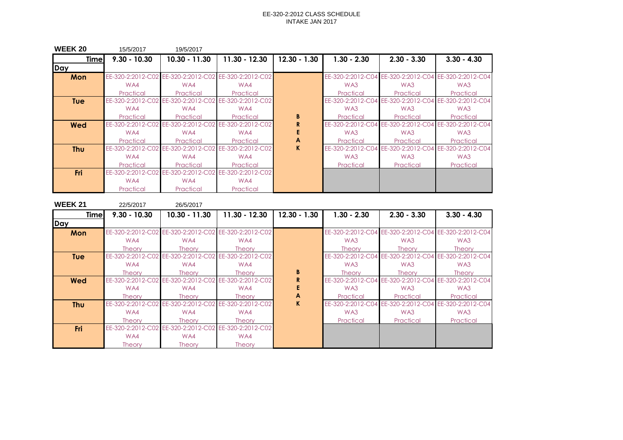| <b>WEEK 20</b> | 15/5/2017         | 19/5/2017                                             |                                     |                |                   |                   |                                                       |
|----------------|-------------------|-------------------------------------------------------|-------------------------------------|----------------|-------------------|-------------------|-------------------------------------------------------|
| <b>Time</b>    | $9.30 - 10.30$    | 10.30 - 11.30                                         | 11.30 - 12.30                       | $12.30 - 1.30$ | $1.30 - 2.30$     | $2.30 - 3.30$     | $3.30 - 4.30$                                         |
| Day            |                   |                                                       |                                     |                |                   |                   |                                                       |
| Mon            |                   | EE-320-2:2012-C02 EE-320-2:2012-C02 EE-320-2:2012-C02 |                                     |                |                   |                   | EE-320-2:2012-C04 EE-320-2:2012-C04 EE-320-2:2012-C04 |
|                | WA4               | WA4                                                   | WA4                                 |                | WA3               | WA3               | WA3                                                   |
|                | Practical         | Practical                                             | Practical                           |                | Practical         | Practical         | Practical                                             |
| <b>Tue</b>     | EE-320-2:2012-C02 |                                                       | EE-320-2:2012-C02 EE-320-2:2012-C02 |                |                   |                   | EE-320-2:2012-C04 EE-320-2:2012-C04 EE-320-2:2012-C04 |
|                | WA4               | WA4                                                   | WA4                                 |                | WA3               | WA3               | WA3                                                   |
|                | Practical         | Practical                                             | Practical                           | B              | Practical         | Practical         | Practical                                             |
| Wed            | EE-320-2:2012-C02 | EE-320-2:2012-C02                                     | EE-320-2:2012-C02                   | R              | EE-320-2:2012-C04 | EE-320-2:2012-C04 | EE-320-2:2012-C04                                     |
|                | WA4               | WA4                                                   | WA4                                 |                | WA3               | WA3               | WA3                                                   |
|                | Practical         | Practical                                             | Practical                           | A              | Practical         | Practical         | Practical                                             |
| <b>Thu</b>     | EE-320-2:2012-C02 | EE-320-2:2012-C02                                     | EE-320-2:2012-C02                   | K.             | EE-320-2:2012-C04 | EE-320-2:2012-C04 | EE-320-2:2012-C04                                     |
|                | WA4               | WA4                                                   | WA4                                 |                | WA3               | WA3               | WA3                                                   |
|                | Practical         | Practical                                             | Practical                           |                | Practical         | Practical         | Practical                                             |
| <b>Fri</b>     | EE-320-2:2012-C02 | EE-320-2:2012-C02                                     | EE-320-2:2012-C02                   |                |                   |                   |                                                       |
|                | WA4               | WA4                                                   | WA4                                 |                |                   |                   |                                                       |
|                | Practical         | Practical                                             | Practical                           |                |                   |                   |                                                       |

| <b>WEEK 21</b> | 22/5/2017         | 26/5/2017                                             |                                                       |                |               |                                                       |                                                       |
|----------------|-------------------|-------------------------------------------------------|-------------------------------------------------------|----------------|---------------|-------------------------------------------------------|-------------------------------------------------------|
| <b>Timel</b>   | $9.30 - 10.30$    | $10.30 - 11.30$                                       | 11.30 - 12.30                                         | $12.30 - 1.30$ | $1.30 - 2.30$ | $2.30 - 3.30$                                         | $3.30 - 4.30$                                         |
| Day            |                   |                                                       |                                                       |                |               |                                                       |                                                       |
| Mon            |                   | EE-320-2:2012-C02 EE-320-2:2012-C02 EE-320-2:2012-C02 |                                                       |                |               |                                                       | EE-320-2:2012-C04 EE-320-2:2012-C04 EE-320-2:2012-C04 |
|                | WA4               | WA4                                                   | WA4                                                   |                | WA3           | WA3                                                   | WA3                                                   |
|                | <b>Theory</b>     | Theory                                                | <b>Theory</b>                                         |                | <b>Theory</b> | <b>Theory</b>                                         | <b>Theory</b>                                         |
| <b>Tue</b>     |                   | EE-320-2:2012-C02 EE-320-2:2012-C02 EE-320-2:2012-C02 |                                                       |                |               | EE-320-2:2012-C04 EE-320-2:2012-C04 EE-320-2:2012-C04 |                                                       |
|                | WA4               | WA4                                                   | WA4                                                   |                | WA3           | WA3                                                   | WA3                                                   |
|                | <b>Theory</b>     | Theory                                                | <b>Theory</b>                                         | B              | <b>Theory</b> | <b>Theory</b>                                         | <b>Theory</b>                                         |
| Wed            |                   |                                                       | EE-320-2:2012-C02 EE-320-2:2012-C02 EE-320-2:2012-C02 | R              |               | EE-320-2:2012-C04 EE-320-2:2012-C04 EE-320-2:2012-C04 |                                                       |
|                | WA4               | WA4                                                   | WA4                                                   |                | WA3           | WA3                                                   | WA3                                                   |
|                | <b>Theory</b>     | Theory                                                | <b>Theory</b>                                         | A              | Practical     | Practical                                             | Practical                                             |
| <b>Thu</b>     | EE-320-2:2012-C02 |                                                       | EE-320-2:2012-C02 EE-320-2:2012-C02                   | K.             |               | EE-320-2:2012-C04 EE-320-2:2012-C04                   | EE-320-2:2012-C04                                     |
|                | WA4               | WA4                                                   | WA4                                                   |                | WA3           | WA3                                                   | WA3                                                   |
|                | <b>Theory</b>     | <b>Theory</b>                                         | <b>Theory</b>                                         |                | Practical     | Practical                                             | Practical                                             |
| <b>Fri</b>     | EE-320-2:2012-C02 |                                                       | EE-320-2:2012-C02 EE-320-2:2012-C02                   |                |               |                                                       |                                                       |
|                | WA4               | WA4                                                   | WA4                                                   |                |               |                                                       |                                                       |
|                | <b>Theory</b>     | <b>Theory</b>                                         | <b>Theory</b>                                         |                |               |                                                       |                                                       |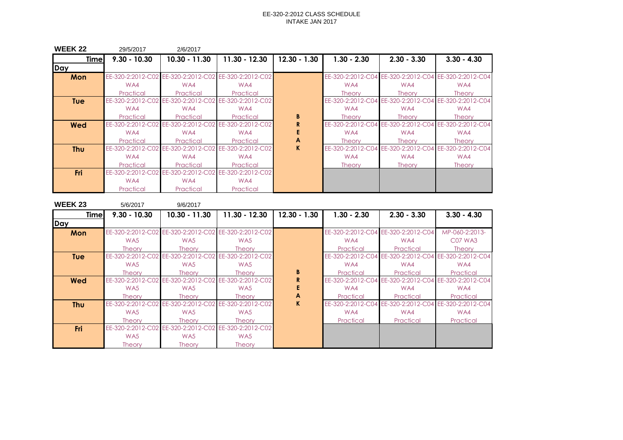| <b>WEEK 22</b> | 29/5/2017         | 2/6/2017                                              |                   |                |               |                                     |                                                       |
|----------------|-------------------|-------------------------------------------------------|-------------------|----------------|---------------|-------------------------------------|-------------------------------------------------------|
| <b>Time</b>    | $9.30 - 10.30$    | $10.30 - 11.30$                                       | $11.30 - 12.30$   | $12.30 - 1.30$ | $1.30 - 2.30$ | $2.30 - 3.30$                       | $3.30 - 4.30$                                         |
| Day            |                   |                                                       |                   |                |               |                                     |                                                       |
| Mon            |                   | EE-320-2:2012-C02 EE-320-2:2012-C02 EE-320-2:2012-C02 |                   |                |               |                                     | EE-320-2:2012-C04 EE-320-2:2012-C04 EE-320-2:2012-C04 |
|                | WA4               | WA4                                                   | WA4               |                | WA4           | WA4                                 | WA4                                                   |
|                | Practical         | Practical                                             | Practical         |                | <b>Theory</b> | <b>Theory</b>                       | <b>Theory</b>                                         |
| <b>Tue</b>     | EE-320-2:2012-C02 | EE-320-2:2012-C02 EE-320-2:2012-C02                   |                   |                |               |                                     | EE-320-2:2012-C04 EE-320-2:2012-C04 EE-320-2:2012-C04 |
|                | WA4               | WA4                                                   | WA4               |                | WA4           | WA4                                 | WA4                                                   |
|                | Practical         | Practical                                             | Practical         | B              | <b>Theory</b> | <b>Theory</b>                       | <b>Theory</b>                                         |
| Wed            | EE-320-2:2012-C02 | EE-320-2:2012-C02                                     | EE-320-2:2012-C02 | R              |               |                                     | EE-320-2:2012-C04 EE-320-2:2012-C04 EE-320-2:2012-C04 |
|                | WA4               | WA4                                                   | WA4               |                | WA4           | WA4                                 | WA4                                                   |
|                | Practical         | Practical                                             | Practical         | A              | <b>Theory</b> | <b>Theory</b>                       | <b>Theory</b>                                         |
| <b>Thu</b>     | EE-320-2:2012-C02 | EE-320-2:2012-C02                                     | EE-320-2:2012-C02 | K.             |               | EE-320-2:2012-C04 EE-320-2:2012-C04 | EE-320-2:2012-C04                                     |
|                | WA4               | WA4                                                   | WA4               |                | WA4           | WA4                                 | WA4                                                   |
|                | Practical         | Practical                                             | Practical         |                | <b>Theory</b> | <b>Theory</b>                       | <b>Theory</b>                                         |
| Fri            | EE-320-2:2012-C02 | EE-320-2:2012-C02                                     | EE-320-2:2012-C02 |                |               |                                     |                                                       |
|                | WA4               | WA4                                                   | WA4               |                |               |                                     |                                                       |
|                | Practical         | Practical                                             | Practical         |                |               |                                     |                                                       |

| <b>WEEK 23</b> | 5/6/2017          | 9/6/2017                                              |                                     |                |                   |                                                       |                   |
|----------------|-------------------|-------------------------------------------------------|-------------------------------------|----------------|-------------------|-------------------------------------------------------|-------------------|
| <b>Time</b>    | $9.30 - 10.30$    | 10.30 - 11.30                                         | $11.30 - 12.30$                     | $12.30 - 1.30$ | $1.30 - 2.30$     | $2.30 - 3.30$                                         | $3.30 - 4.30$     |
| Day            |                   |                                                       |                                     |                |                   |                                                       |                   |
| Mon            |                   | EE-320-2:2012-C02 EE-320-2:2012-C02 EE-320-2:2012-C02 |                                     |                |                   | EE-320-2:2012-C04 EE-320-2:2012-C04                   | MP-060-2:2013-    |
|                | WA5               | WA5                                                   | WA5                                 |                | WA4               | WA4                                                   | <b>C07 WA3</b>    |
|                | <b>Theory</b>     | Theory                                                | <b>Theory</b>                       |                | Practical         | Practical                                             | <b>Theory</b>     |
| <b>Tue</b>     |                   | EE-320-2:2012-C02 EE-320-2:2012-C02 EE-320-2:2012-C02 |                                     |                |                   | EE-320-2:2012-C04 EE-320-2:2012-C04 EE-320-2:2012-C04 |                   |
|                | WA5               | WA5                                                   | WA5                                 |                | WA4               | WA4                                                   | WA4               |
|                | <b>Theory</b>     | Theory                                                | <b>Theory</b>                       | B              | Practical         | Practical                                             | Practical         |
| Wed            | EE-320-2:2012-C02 |                                                       | EE-320-2:2012-C02 EE-320-2:2012-C02 |                |                   | EE-320-2:2012-C04 EE-320-2:2012-C04 EE-320-2:2012-C04 |                   |
|                | WA5               | WA5                                                   | WA <sub>5</sub>                     |                | WA4               | WA4                                                   | WA4               |
|                | <b>Theory</b>     | Theory                                                | <b>Theory</b>                       | A              | Practical         | Practical                                             | Practical         |
| <b>Thu</b>     | EE-320-2:2012-C02 |                                                       | EE-320-2:2012-C02 EE-320-2:2012-C02 | $\mathbf K$    | EE-320-2:2012-C04 | EE-320-2:2012-C04                                     | EE-320-2:2012-C04 |
|                | WA5               | WA <sub>5</sub>                                       | WA5                                 |                | WA4               | WA4                                                   | WA4               |
|                | <b>Theory</b>     | <b>Theory</b>                                         | <b>Theory</b>                       |                | Practical         | Practical                                             | Practical         |
| <b>Fri</b>     | EE-320-2:2012-C02 | EE-320-2:2012-C02                                     | EE-320-2:2012-C02                   |                |                   |                                                       |                   |
|                | WA5               | WA5                                                   | WA5                                 |                |                   |                                                       |                   |
|                | <b>Theory</b>     | <b>Theory</b>                                         | <b>Theory</b>                       |                |                   |                                                       |                   |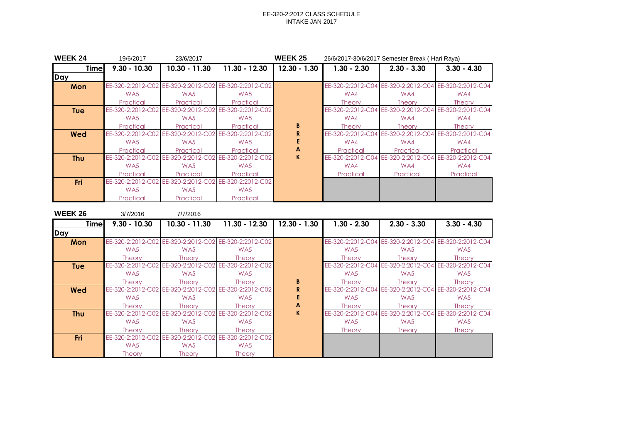| <b>WEEK 24</b> | 19/6/2017         | 23/6/2017                                             |                   | <b>WEEK 25</b> | 26/6/2017-30/6/2017 Semester Break ( Hari Raya) |                                     |                                                       |  |
|----------------|-------------------|-------------------------------------------------------|-------------------|----------------|-------------------------------------------------|-------------------------------------|-------------------------------------------------------|--|
| <b>Timel</b>   | $9.30 - 10.30$    | $10.30 - 11.30$                                       | $11.30 - 12.30$   | $12.30 - 1.30$ | $1.30 - 2.30$                                   | $2.30 - 3.30$                       | $3.30 - 4.30$                                         |  |
| Day            |                   |                                                       |                   |                |                                                 |                                     |                                                       |  |
| Mon            |                   | EE-320-2:2012-C02 EE-320-2:2012-C02 EE-320-2:2012-C02 |                   |                |                                                 |                                     | EE-320-2:2012-C04 EE-320-2:2012-C04 EE-320-2:2012-C04 |  |
|                | WA5               | WA5                                                   | WA5               |                | WA4                                             | WA4                                 | WA4                                                   |  |
|                | Practical         | Practical                                             | Practical         |                | <b>Theory</b>                                   | <b>Theory</b>                       | <b>Theory</b>                                         |  |
| <b>Tue</b>     | EE-320-2:2012-C02 | EE-320-2:2012-C02                                     | EE-320-2:2012-C02 |                |                                                 |                                     | EE-320-2:2012-C04 EE-320-2:2012-C04 EE-320-2:2012-C04 |  |
|                | WA5               | WA5                                                   | WA5               |                | WA4                                             | WA4                                 | WA4                                                   |  |
|                | Practical         | Practical                                             | Practical         | B              | <b>Theory</b>                                   | <b>Theory</b>                       | <b>Theory</b>                                         |  |
| Wed            | EE-320-2:2012-C02 | EE-320-2:2012-C02                                     | EE-320-2:2012-C02 | R.             |                                                 |                                     | EE-320-2:2012-C04 EE-320-2:2012-C04 EE-320-2:2012-C04 |  |
|                | WA5               | WA5                                                   | WA5               |                | WA4                                             | WA4                                 | WA4                                                   |  |
|                | Practical         | Practical                                             | Practical         | A              | Practical                                       | Practical                           | Practical                                             |  |
| <b>Thu</b>     | EE-320-2:2012-C02 | EE-320-2:2012-C02                                     | EE-320-2:2012-C02 | K.             |                                                 | EE-320-2:2012-C04 EE-320-2:2012-C04 | EE-320-2:2012-C04                                     |  |
|                | WA5               | WA5                                                   | WA5               |                | WA4                                             | WA4                                 | WA4                                                   |  |
|                | Practical         | Practical                                             | Practical         |                | Practical                                       | Practical                           | Practical                                             |  |
| Fri            | EE-320-2:2012-C02 | EE-320-2:2012-C02                                     | EE-320-2:2012-C02 |                |                                                 |                                     |                                                       |  |
|                | WA5               | WA5                                                   | WA5               |                |                                                 |                                     |                                                       |  |
|                | Practical         | Practical                                             | Practical         |                |                                                 |                                     |                                                       |  |

| <b>WEEK 26</b> | 3/7/2016          | 7/7/2016          |                                                       |                |                   |                                                       |                                                       |
|----------------|-------------------|-------------------|-------------------------------------------------------|----------------|-------------------|-------------------------------------------------------|-------------------------------------------------------|
| Timel          | $9.30 - 10.30$    | 10.30 - 11.30     | $11.30 - 12.30$                                       | $12.30 - 1.30$ | $1.30 - 2.30$     | $2.30 - 3.30$                                         | $3.30 - 4.30$                                         |
| Day            |                   |                   |                                                       |                |                   |                                                       |                                                       |
| Mon            |                   |                   | EE-320-2:2012-C02 EE-320-2:2012-C02 EE-320-2:2012-C02 |                |                   |                                                       | EE-320-2:2012-C04 EE-320-2:2012-C04 EE-320-2:2012-C04 |
|                | WA5               | WA5               | WA5                                                   |                | WA <sub>5</sub>   | WA5                                                   | WA5                                                   |
|                | <b>Theory</b>     | <b>Theory</b>     | <b>Theory</b>                                         |                | <b>Theory</b>     | <b>Theory</b>                                         | <b>Theory</b>                                         |
| <b>Tue</b>     | EE-320-2:2012-C02 | EE-320-2:2012-C02 | EE-320-2:2012-C02                                     |                |                   | EE-320-2:2012-C04 EE-320-2:2012-C04 EE-320-2:2012-C04 |                                                       |
|                | WA5               | WA5               | WA5                                                   |                | WA <sub>5</sub>   | WA5                                                   | WA5                                                   |
|                | <b>Theory</b>     | <b>Theory</b>     | <b>Theory</b>                                         | B              | <b>Theory</b>     | <b>Theory</b>                                         | <b>Theory</b>                                         |
| <b>Wed</b>     | EE-320-2:2012-C02 | EE-320-2:2012-C02 | EE-320-2:2012-C02                                     |                |                   | EE-320-2:2012-C04 EE-320-2:2012-C04                   | EE-320-2:2012-C04                                     |
|                | WA5               | WA5               | WA <sub>5</sub>                                       |                | WA <sub>5</sub>   | WA5                                                   | WA5                                                   |
|                | <b>Theory</b>     | <b>Theory</b>     | <b>Theory</b>                                         | A              | <b>Theory</b>     | <b>Theory</b>                                         | <b>Theory</b>                                         |
| <b>Thu</b>     | EE-320-2:2012-C02 | EE-320-2:2012-C02 | EE-320-2:2012-C02                                     | K              | EE-320-2:2012-C04 |                                                       | EE-320-2:2012-C04 EE-320-2:2012-C04                   |
|                | WA5               | WA5               | WA5                                                   |                | WA <sub>5</sub>   | WA5                                                   | WA5                                                   |
|                | <b>Theory</b>     | <b>Theory</b>     | <b>Theory</b>                                         |                | <b>Theory</b>     | <b>Theory</b>                                         | <b>Theory</b>                                         |
| <b>Fri</b>     | EE-320-2:2012-C02 | EE-320-2:2012-C02 | EE-320-2:2012-C02                                     |                |                   |                                                       |                                                       |
|                | WA5               | WA5               | WA5                                                   |                |                   |                                                       |                                                       |
|                | <b>Theory</b>     | <b>Theory</b>     | <b>Theory</b>                                         |                |                   |                                                       |                                                       |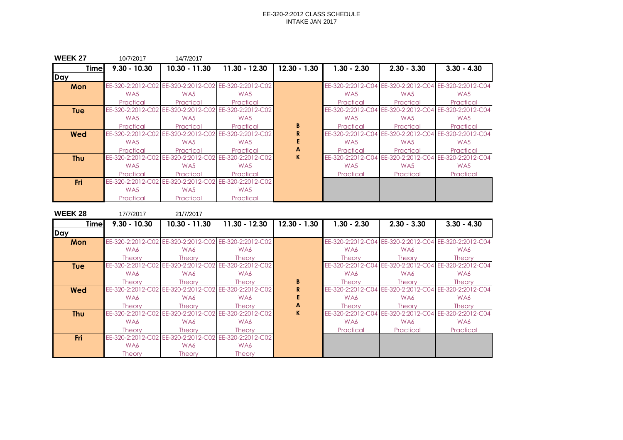| <b>WEEK 27</b> | 10/7/2017         | 14/7/2017         |                                                       |                |                 |                                                       |               |
|----------------|-------------------|-------------------|-------------------------------------------------------|----------------|-----------------|-------------------------------------------------------|---------------|
| <b>Time</b>    | $9.30 - 10.30$    | $10.30 - 11.30$   | $11.30 - 12.30$                                       | $12.30 - 1.30$ | $1.30 - 2.30$   | $2.30 - 3.30$                                         | $3.30 - 4.30$ |
| Day            |                   |                   |                                                       |                |                 |                                                       |               |
| Mon            |                   |                   | EE-320-2:2012-C02 EE-320-2:2012-C02 EE-320-2:2012-C02 |                |                 | EE-320-2:2012-C04 EE-320-2:2012-C04 EE-320-2:2012-C04 |               |
|                | WA5               | WA5               | WA5                                                   |                | WA <sub>5</sub> | WA <sub>5</sub>                                       | WA5           |
|                | Practical         | Practical         | Practical                                             |                | Practical       | Practical                                             | Practical     |
| <b>Tue</b>     | EE-320-2:2012-C02 |                   | EE-320-2:2012-C02 EE-320-2:2012-C02                   |                |                 | EE-320-2:2012-C04 EE-320-2:2012-C04 EE-320-2:2012-C04 |               |
|                | WA5               | WA5               | WA5                                                   |                | WA <sub>5</sub> | WA5                                                   | WA5           |
|                | Practical         | Practical         | Practical                                             | B              | Practical       | Practical                                             | Practical     |
| Wed            | EE-320-2:2012-C02 |                   | EE-320-2:2012-C02 EE-320-2:2012-C02                   | R.             |                 | EE-320-2:2012-C04 EE-320-2:2012-C04 EE-320-2:2012-C04 |               |
|                | WA <sub>5</sub>   | WA5               | WA5                                                   |                | WA5             | WA5                                                   | WA5           |
|                | Practical         | Practical         | Practical                                             | A              | Practical       | Practical                                             | Practical     |
| <b>Thu</b>     | EE-320-2:2012-C02 | EE-320-2:2012-C02 | EE-320-2:2012-C02                                     | K.             |                 | EE-320-2:2012-C04 EE-320-2:2012-C04 EE-320-2:2012-C04 |               |
|                | WA5               | WA5               | WA5                                                   |                | WA5             | WA5                                                   | WA5           |
|                | Practical         | Practical         | Practical                                             |                | Practical       | Practical                                             | Practical     |
| <b>Fri</b>     | EE-320-2:2012-C02 | EE-320-2:2012-C02 | EE-320-2:2012-C02                                     |                |                 |                                                       |               |
|                | WA5               | WA5               | WA5                                                   |                |                 |                                                       |               |
|                | Practical         | Practical         | Practical                                             |                |                 |                                                       |               |

| <b>WEEK 28</b> | 17/7/2017         | 21/7/2017                                             |                   |                |               |                                                       |                                                       |
|----------------|-------------------|-------------------------------------------------------|-------------------|----------------|---------------|-------------------------------------------------------|-------------------------------------------------------|
| <b>Timel</b>   | $9.30 - 10.30$    | 10.30 - 11.30                                         | $11.30 - 12.30$   | $12.30 - 1.30$ | $1.30 - 2.30$ | $2.30 - 3.30$                                         | $3.30 - 4.30$                                         |
| Day            |                   |                                                       |                   |                |               |                                                       |                                                       |
| Mon            |                   | EE-320-2:2012-C02 EE-320-2:2012-C02 EE-320-2:2012-C02 |                   |                |               |                                                       | EE-320-2:2012-C04 EE-320-2:2012-C04 EE-320-2:2012-C04 |
|                | WA6               | WA6                                                   | WA6               |                | WA6           | WA6                                                   | WA6                                                   |
|                | <b>Theory</b>     | <b>Theory</b>                                         | <b>Theory</b>     |                | <b>Theory</b> | <b>Theory</b>                                         | <b>Theory</b>                                         |
| <b>Tue</b>     |                   | EE-320-2:2012-C02 EE-320-2:2012-C02 EE-320-2:2012-C02 |                   |                |               | EE-320-2:2012-C04 EE-320-2:2012-C04 EE-320-2:2012-C04 |                                                       |
|                | WA6               | WA6                                                   | WA6               |                | WA6           | WA6                                                   | WA6                                                   |
|                | <b>Theory</b>     | <b>Theory</b>                                         | <b>Theory</b>     | B              | <b>Theory</b> | <b>Theory</b>                                         | <b>Theory</b>                                         |
| <b>Wed</b>     |                   | EE-320-2:2012-C02 EE-320-2:2012-C02                   | EE-320-2:2012-C02 | R.             |               | EE-320-2:2012-C04 EE-320-2:2012-C04                   | EE-320-2:2012-C04                                     |
|                | WA6               | WA6                                                   | WA6               |                | WA6           | WA6                                                   | WA6                                                   |
|                | <b>Theory</b>     | <b>Theory</b>                                         | <b>Theory</b>     | A              | <b>Theory</b> | <b>Theory</b>                                         | <b>Theory</b>                                         |
| <b>Thu</b>     | EE-320-2:2012-C02 | EE-320-2:2012-C02                                     | EE-320-2:2012-C02 | K.             |               | EE-320-2:2012-C04 EE-320-2:2012-C04                   | EE-320-2:2012-C04                                     |
|                | WA6               | WA6                                                   | WA6               |                | WA6           | WA6                                                   | WA6                                                   |
|                | <b>Theory</b>     | <b>Theory</b>                                         | <b>Theory</b>     |                | Practical     | Practical                                             | Practical                                             |
| <b>Fri</b>     |                   | EE-320-2:2012-C02 EE-320-2:2012-C02                   | EE-320-2:2012-C02 |                |               |                                                       |                                                       |
|                | WA6               | WA6                                                   | WA6               |                |               |                                                       |                                                       |
|                | <b>Theory</b>     | <b>Theory</b>                                         | <b>Theory</b>     |                |               |                                                       |                                                       |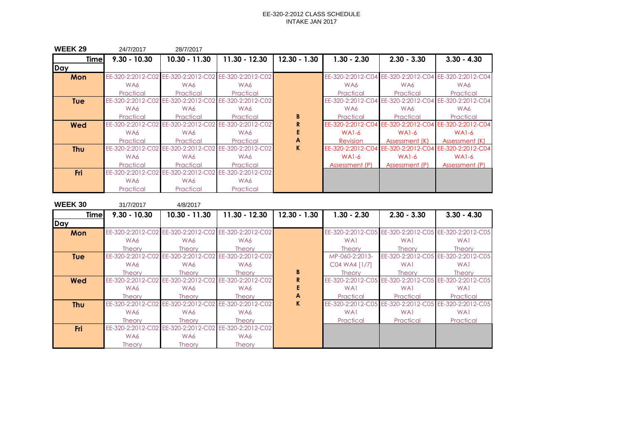| <b>WEEK 29</b> | 24/7/2017         | 28/7/2017                                             |                                     |                |                   |                                                       |                                                       |
|----------------|-------------------|-------------------------------------------------------|-------------------------------------|----------------|-------------------|-------------------------------------------------------|-------------------------------------------------------|
| <b>Time</b>    | $9.30 - 10.30$    | $10.30 - 11.30$                                       | $11.30 - 12.30$                     | $12.30 - 1.30$ | $1.30 - 2.30$     | $2.30 - 3.30$                                         | $3.30 - 4.30$                                         |
| Day            |                   |                                                       |                                     |                |                   |                                                       |                                                       |
| Mon            |                   | EE-320-2:2012-C02 EE-320-2:2012-C02 EE-320-2:2012-C02 |                                     |                |                   |                                                       | EE-320-2:2012-C04 EE-320-2:2012-C04 EE-320-2:2012-C04 |
|                | WA6               | WA6                                                   | WA6                                 |                | WA6               | WA6                                                   | WA6                                                   |
|                | Practical         | Practical                                             | Practical                           |                | Practical         | Practical                                             | Practical                                             |
| <b>Tue</b>     | EE-320-2:2012-C02 |                                                       | EE-320-2:2012-C02 EE-320-2:2012-C02 |                |                   | EE-320-2:2012-C04 EE-320-2:2012-C04 EE-320-2:2012-C04 |                                                       |
|                | WA6               | WA6                                                   | WA6                                 |                | WA6               | WA6                                                   | WA6                                                   |
|                | Practical         | Practical                                             | Practical                           | B              | Practical         | Practical                                             | Practical                                             |
| Wed            | EE-320-2:2012-C02 | EE-320-2:2012-C02                                     | EE-320-2:2012-C02                   | R              | EE-320-2:2012-C04 |                                                       | EE-320-2:2012-C04 EE-320-2:2012-C04                   |
|                | WA6               | WA6                                                   | WA6                                 |                | $WA1-6$           | $WA1-6$                                               | WA <sub>1</sub> -6                                    |
|                | Practical         | Practical                                             | Practical                           | A              | <b>Revision</b>   | Assessment (K)                                        | Assessment (K)                                        |
| <b>Thu</b>     | EE-320-2:2012-C02 | EE-320-2:2012-C02                                     | EE-320-2:2012-C02                   | K.             | EE-320-2:2012-C04 |                                                       | EE-320-2:2012-C04 EE-320-2:2012-C04                   |
|                | WA6               | WA6                                                   | WA6                                 |                | $WA1-6$           | $WA1-6$                                               | <b>WA1-6</b>                                          |
|                | Practical         | Practical                                             | Practical                           |                | Assessment (P)    | Assessment (P)                                        | Assessment (P)                                        |
| Fri            | EE-320-2:2012-C02 | EE-320-2:2012-C02                                     | EE-320-2:2012-C02                   |                |                   |                                                       |                                                       |
|                | WA6               | WA6                                                   | WA6                                 |                |                   |                                                       |                                                       |
|                | Practical         | Practical                                             | Practical                           |                |                   |                                                       |                                                       |

| <b>WEEK 30</b> | 31/7/2017         | 4/8/2017          |                                                       |                |                   |                   |                                                       |
|----------------|-------------------|-------------------|-------------------------------------------------------|----------------|-------------------|-------------------|-------------------------------------------------------|
| <b>Time</b>    | $9.30 - 10.30$    | $10.30 - 11.30$   | 11.30 - 12.30                                         | $12.30 - 1.30$ | $1.30 - 2.30$     | $2.30 - 3.30$     | $3.30 - 4.30$                                         |
| Day            |                   |                   |                                                       |                |                   |                   |                                                       |
| Mon            |                   |                   | EE-320-2:2012-C02 EE-320-2:2012-C02 EE-320-2:2012-C02 |                |                   |                   | EE-320-2:2012-C05 EE-320-2:2012-C05 EE-320-2:2012-C05 |
|                | WA6               | WA6               | WA6                                                   |                | WA1               | WA1               | WA1                                                   |
|                | <b>Theory</b>     | <b>Theory</b>     | <b>Theory</b>                                         |                | <b>Theory</b>     | <b>Theory</b>     | <b>Theory</b>                                         |
| <b>Tue</b>     | EE-320-2:2012-C02 |                   | EE-320-2:2012-C02 EE-320-2:2012-C02                   |                | MP-060-2:2013-    |                   | EE-320-2:2012-C05 EE-320-2:2012-C05                   |
|                | WA6               | WA6               | WA6                                                   |                | C04 WA4 [1/7]     | WA1               | WA1                                                   |
|                | <b>Theory</b>     | Theory            | <b>Theory</b>                                         | B              | <b>Theory</b>     | <b>Theory</b>     | <b>Theory</b>                                         |
| <b>Wed</b>     | EE-320-2:2012-C02 | EE-320-2:2012-C02 | EE-320-2:2012-C02                                     |                | EE-320-2:2012-C05 | EE-320-2:2012-C05 | EE-320-2:2012-C05                                     |
|                | WA6               | WA6               | WA6                                                   |                | WA1               | WA1               | WA1                                                   |
|                | <b>Theory</b>     | Theory            | <b>Theory</b>                                         | A              | Practical         | Practical         | Practical                                             |
| <b>Thu</b>     | EE-320-2:2012-C02 | EE-320-2:2012-C02 | EE-320-2:2012-C02                                     | K.             | EE-320-2:2012-C05 | EE-320-2:2012-C05 | EE-320-2:2012-C05                                     |
|                | WA6               | WA6               | WA6                                                   |                | WA1               | WA1               | WA1                                                   |
|                | <b>Theory</b>     | <b>Theory</b>     | <b>Theory</b>                                         |                | Practical         | Practical         | Practical                                             |
| <b>Fri</b>     | EE-320-2:2012-C02 | EE-320-2:2012-C02 | EE-320-2:2012-C02                                     |                |                   |                   |                                                       |
|                | WA6               | WA6               | WA6                                                   |                |                   |                   |                                                       |
|                | <b>Theory</b>     | <b>Theory</b>     | <b>Theory</b>                                         |                |                   |                   |                                                       |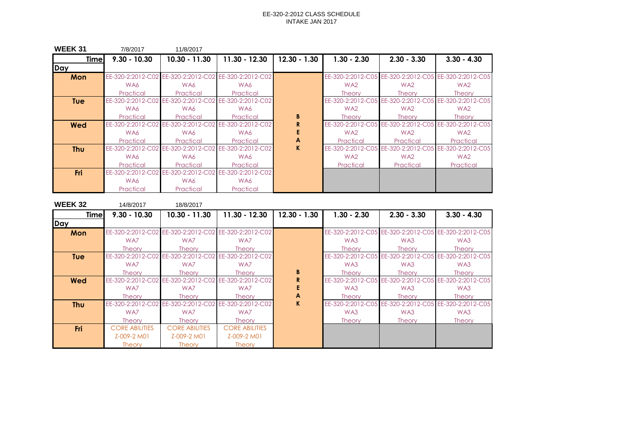| <b>WEEK 31</b> | 7/8/2017          | 11/8/2017                                             |                                     |                |                   |                   |                                                       |
|----------------|-------------------|-------------------------------------------------------|-------------------------------------|----------------|-------------------|-------------------|-------------------------------------------------------|
| <b>Time</b>    | $9.30 - 10.30$    | 10.30 - 11.30                                         | 11.30 - 12.30                       | $12.30 - 1.30$ | $1.30 - 2.30$     | $2.30 - 3.30$     | $3.30 - 4.30$                                         |
| Day            |                   |                                                       |                                     |                |                   |                   |                                                       |
| Mon            |                   | EE-320-2:2012-C02 EE-320-2:2012-C02 EE-320-2:2012-C02 |                                     |                |                   |                   | EE-320-2:2012-C05 EE-320-2:2012-C05 EE-320-2:2012-C05 |
|                | WA6               | WA6                                                   | WA6                                 |                | WA <sub>2</sub>   | WA2               | WA <sub>2</sub>                                       |
|                | Practical         | Practical                                             | Practical                           |                | <b>Theory</b>     | <b>Theory</b>     | <b>Theory</b>                                         |
| <b>Tue</b>     | EE-320-2:2012-C02 |                                                       | EE-320-2:2012-C02 EE-320-2:2012-C02 |                | EE-320-2:2012-C05 |                   | EE-320-2:2012-C05 EE-320-2:2012-C05                   |
|                | WA6               | WA6                                                   | WA6                                 |                | WA <sub>2</sub>   | WA2               | WA <sub>2</sub>                                       |
|                | Practical         | Practical                                             | Practical                           | B              | <b>Theory</b>     | <b>Theory</b>     | <b>Theory</b>                                         |
| Wed            | EE-320-2:2012-C02 | EE-320-2:2012-C02                                     | EE-320-2:2012-C02                   |                | EE-320-2:2012-C05 |                   | EE-320-2:2012-C05 EE-320-2:2012-C05                   |
|                | WA6               | WA6                                                   | WA6                                 |                | WA <sub>2</sub>   | WA2               | WA <sub>2</sub>                                       |
|                | Practical         | Practical                                             | Practical                           | A              | Practical         | Practical         | Practical                                             |
| <b>Thu</b>     | EE-320-2:2012-C02 | EE-320-2:2012-C02                                     | EE-320-2:2012-C02                   | K              | EE-320-2:2012-C05 | EE-320-2:2012-C05 | EE-320-2:2012-C05                                     |
|                | WA6               | WA6                                                   | WA6                                 |                | WA <sub>2</sub>   | WA2               | WA <sub>2</sub>                                       |
|                | Practical         | Practical                                             | Practical                           |                | Practical         | Practical         | Practical                                             |
| Fri            | EE-320-2:2012-C02 |                                                       | EE-320-2:2012-C02 EE-320-2:2012-C02 |                |                   |                   |                                                       |
|                | WA6               | WA6                                                   | WA6                                 |                |                   |                   |                                                       |
|                | Practical         | Practical                                             | Practical                           |                |                   |                   |                                                       |

| <b>WEEK32</b> | 14/8/2017             | 18/8/2017             |                                                       |                |                   |                   |                                                       |
|---------------|-----------------------|-----------------------|-------------------------------------------------------|----------------|-------------------|-------------------|-------------------------------------------------------|
| <b>Time</b>   | $9.30 - 10.30$        | $10.30 - 11.30$       | 11.30 - 12.30                                         | $12.30 - 1.30$ | $1.30 - 2.30$     | $2.30 - 3.30$     | $3.30 - 4.30$                                         |
| <b>Day</b>    |                       |                       |                                                       |                |                   |                   |                                                       |
| Mon           |                       |                       | EE-320-2:2012-C02 EE-320-2:2012-C02 EE-320-2:2012-C02 |                |                   |                   | EE-320-2:2012-C05 EE-320-2:2012-C05 EE-320-2:2012-C05 |
|               | WA7                   | WA7                   | WA7                                                   |                | WA3               | WA3               | WA3                                                   |
|               | <b>Theory</b>         | Theory                | <b>Theory</b>                                         |                | <b>Theory</b>     | <b>Theory</b>     | <b>Theory</b>                                         |
| <b>Tue</b>    |                       |                       | EE-320-2:2012-C02 EE-320-2:2012-C02 EE-320-2:2012-C02 |                |                   |                   | EE-320-2:2012-C05 EE-320-2:2012-C05 EE-320-2:2012-C05 |
|               | WA7                   | WA7                   | WA7                                                   |                | WA3               | WA3               | WA3                                                   |
|               | <b>Theory</b>         | Theory                | <b>Theory</b>                                         | B              | <b>Theory</b>     | <b>Theory</b>     | <b>Theory</b>                                         |
| Wed           | EE-320-2:2012-C02     |                       | EE-320-2:2012-C02 EE-320-2:2012-C02                   | R              |                   |                   | EE-320-2:2012-C05 EE-320-2:2012-C05 EE-320-2:2012-C05 |
|               | WA7                   | WA7                   | WA7                                                   |                | WA3               | WA3               | WA3                                                   |
|               | <b>Theory</b>         | Theory                | <b>Theory</b>                                         | A              | <b>Theory</b>     | <b>Theory</b>     | <b>Theory</b>                                         |
| <b>Thu</b>    | EE-320-2:2012-C02     | EE-320-2:2012-C02     | EE-320-2:2012-C02                                     | K.             | EE-320-2:2012-C05 | EE-320-2:2012-C05 | EE-320-2:2012-C05                                     |
|               | WA7                   | WA7                   | WA7                                                   |                | WA3               | WA3               | WA3                                                   |
|               | <b>Theory</b>         | Theory                | <b>Theory</b>                                         |                | <b>Theory</b>     | <b>Theory</b>     | <b>Theory</b>                                         |
| <b>Fri</b>    | <b>CORE ABILITIES</b> | <b>CORE ABILITIES</b> | <b>CORE ABILITIES</b>                                 |                |                   |                   |                                                       |
|               | Z-009-2 M01           | Z-009-2 M01           | Z-009-2 M01                                           |                |                   |                   |                                                       |
|               | <b>Theory</b>         | <b>Theory</b>         | <b>Theory</b>                                         |                |                   |                   |                                                       |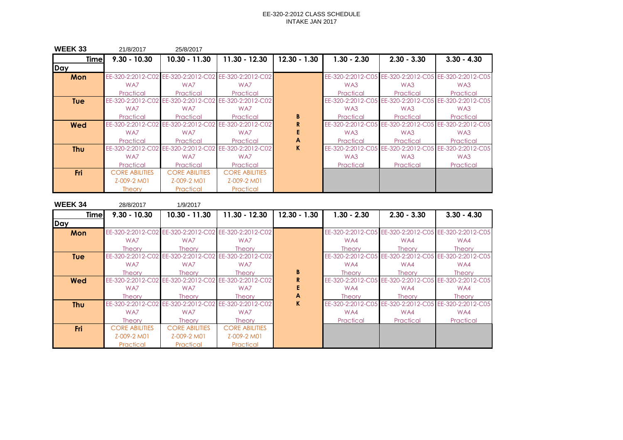| <b>WEEK 33</b> | 21/8/2017             | 25/8/2017             |                                                       |                |                   |                                     |                                                       |
|----------------|-----------------------|-----------------------|-------------------------------------------------------|----------------|-------------------|-------------------------------------|-------------------------------------------------------|
| <b>Time</b>    | $9.30 - 10.30$        | 10.30 - 11.30         | 11.30 - 12.30                                         | $12.30 - 1.30$ | $1.30 - 2.30$     | $2.30 - 3.30$                       | $3.30 - 4.30$                                         |
| Day            |                       |                       |                                                       |                |                   |                                     |                                                       |
| Mon            |                       |                       | EE-320-2:2012-C02 EE-320-2:2012-C02 EE-320-2:2012-C02 |                |                   |                                     | EE-320-2:2012-C05 EE-320-2:2012-C05 EE-320-2:2012-C05 |
|                | WA7                   | WA7                   | WA7                                                   |                | WA3               | WA3                                 | WA3                                                   |
|                | Practical             | Practical             | Practical                                             |                | Practical         | Practical                           | Practical                                             |
| <b>Tue</b>     | EE-320-2:2012-C02     |                       | EE-320-2:2012-C02 EE-320-2:2012-C02                   |                |                   | EE-320-2:2012-C05 EE-320-2:2012-C05 | EE-320-2:2012-C05                                     |
|                | WA7                   | WA7                   | WA7                                                   |                | WA3               | WA3                                 | WA3                                                   |
|                | Practical             | Practical             | Practical                                             | B              | Practical         | Practical                           | Practical                                             |
| Wed            | EE-320-2:2012-C02     | EE-320-2:2012-C02     | EE-320-2:2012-C02                                     | R              | EE-320-2:2012-C05 | EE-320-2:2012-C05                   | EE-320-2:2012-C05                                     |
|                | WA7                   | WA7                   | WA7                                                   |                | WA3               | WA3                                 | WA3                                                   |
|                | Practical             | Practical             | Practical                                             | A              | Practical         | Practical                           | Practical                                             |
| <b>Thu</b>     | EE-320-2:2012-C02     | EE-320-2:2012-C02     | EE-320-2:2012-C02                                     | K.             | EE-320-2:2012-C05 | EE-320-2:2012-C05                   | EE-320-2:2012-C05                                     |
|                | WA7                   | WA7                   | WA7                                                   |                | WA3               | WA3                                 | WA3                                                   |
|                | Practical             | Practical             | Practical                                             |                | Practical         | Practical                           | Practical                                             |
| <b>Fri</b>     | <b>CORE ABILITIES</b> | <b>CORE ABILITIES</b> | <b>CORE ABILITIES</b>                                 |                |                   |                                     |                                                       |
|                | Z-009-2 M01           | Z-009-2 M01           | Z-009-2 M01                                           |                |                   |                                     |                                                       |
|                | <b>Theory</b>         | Practical             | Practical                                             |                |                   |                                     |                                                       |

| <b>WEEK 34</b> | 28/8/2017             | 1/9/2017                            |                                                       |                |               |                                     |                                                       |
|----------------|-----------------------|-------------------------------------|-------------------------------------------------------|----------------|---------------|-------------------------------------|-------------------------------------------------------|
| <b>Time</b>    | $9.30 - 10.30$        | 10.30 - 11.30                       | $11.30 - 12.30$                                       | $12.30 - 1.30$ | $1.30 - 2.30$ | $2.30 - 3.30$                       | $3.30 - 4.30$                                         |
| Day            |                       |                                     |                                                       |                |               |                                     |                                                       |
| Mon            |                       |                                     | EE-320-2:2012-C02 EE-320-2:2012-C02 EE-320-2:2012-C02 |                |               |                                     | EE-320-2:2012-C05 EE-320-2:2012-C05 EE-320-2:2012-C05 |
|                | WA7                   | WA7                                 | WA7                                                   |                | WA4           | WA4                                 | WA4                                                   |
|                | <b>Theory</b>         | <b>Theory</b>                       | <b>Theory</b>                                         |                | Theory        | <b>Theory</b>                       | <b>Theory</b>                                         |
| <b>Tue</b>     |                       | EE-320-2:2012-C02 EE-320-2:2012-C02 | EE-320-2:2012-C02                                     |                |               |                                     | EE-320-2:2012-C05 EE-320-2:2012-C05 EE-320-2:2012-C05 |
|                | WA7                   | WA7                                 | WA7                                                   |                | WA4           | WA4                                 | WA4                                                   |
|                | <b>Theory</b>         | <b>Theory</b>                       | Theorv                                                | B              | Theory        | <b>Theory</b>                       | <b>Theory</b>                                         |
| <b>Wed</b>     | EE-320-2:2012-C02     | EE-320-2:2012-C02                   | EE-320-2:2012-C02                                     | R              |               |                                     | EE-320-2:2012-C05 EE-320-2:2012-C05 EE-320-2:2012-C05 |
|                | WA7                   | WA7                                 | WA7                                                   |                | WA4           | WA4                                 | WA4                                                   |
|                | <b>Theory</b>         | <b>Theory</b>                       | <b>Theory</b>                                         | A              | <b>Theory</b> | <b>Theory</b>                       | <b>Theory</b>                                         |
| <b>Thu</b>     | EE-320-2:2012-C02     | EE-320-2:2012-C02                   | EE-320-2:2012-C02                                     | K.             |               | EE-320-2:2012-C05 EE-320-2:2012-C05 | EE-320-2:2012-C05                                     |
|                | WA7                   | WA7                                 | WA7                                                   |                | WA4           | WA4                                 | WA4                                                   |
|                | <b>Theory</b>         | <b>Theory</b>                       | <b>Theory</b>                                         |                | Practical     | Practical                           | Practical                                             |
| Fri            | <b>CORE ABILITIES</b> | <b>CORE ABILITIES</b>               | <b>CORE ABILITIES</b>                                 |                |               |                                     |                                                       |
|                | Z-009-2 M01           | Z-009-2 M01                         | Z-009-2 M01                                           |                |               |                                     |                                                       |
|                | Practical             | Practical                           | Practical                                             |                |               |                                     |                                                       |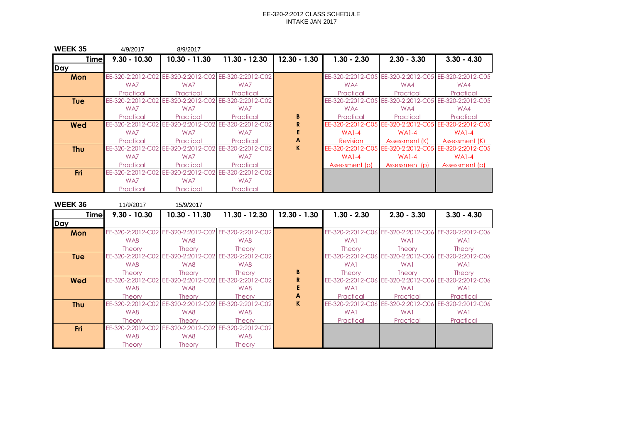| <b>WEEK 35</b> | 4/9/2017          | 8/9/2017                                              |                   |                |                   |                                     |                                                       |
|----------------|-------------------|-------------------------------------------------------|-------------------|----------------|-------------------|-------------------------------------|-------------------------------------------------------|
| <b>Time</b>    | $9.30 - 10.30$    | $10.30 - 11.30$                                       | $11.30 - 12.30$   | $12.30 - 1.30$ | $1.30 - 2.30$     | $2.30 - 3.30$                       | $3.30 - 4.30$                                         |
| Day            |                   |                                                       |                   |                |                   |                                     |                                                       |
| Mon            |                   | EE-320-2:2012-C02 EE-320-2:2012-C02 EE-320-2:2012-C02 |                   |                |                   |                                     | EE-320-2:2012-C05 EE-320-2:2012-C05 EE-320-2:2012-C05 |
|                | WA7               | WA7                                                   | WA7               |                | WA4               | WA4                                 | WA4                                                   |
|                | Practical         | Practical                                             | Practical         |                | Practical         | Practical                           | Practical                                             |
| <b>Tue</b>     | EE-320-2:2012-C02 | EE-320-2:2012-C02                                     | EE-320-2:2012-C02 |                |                   | EE-320-2:2012-C05 EE-320-2:2012-C05 | EE-320-2:2012-C05                                     |
|                | WA7               | WA7                                                   | WA7               |                | WA4               | WA4                                 | WA4                                                   |
|                | Practical         | Practical                                             | Practical         | B              | Practical         | Practical                           | Practical                                             |
| Wed            | EE-320-2:2012-C02 | EE-320-2:2012-C02                                     | EE-320-2:2012-C02 | R              | EE-320-2:2012-C05 | EE-320-2:2012-C05                   | EE-320-2:2012-C05                                     |
|                | WA7               | WA7                                                   | WA7               |                | $WA1-4$           | $WAI-4$                             | $WA1-4$                                               |
|                | Practical         | Practical                                             | Practical         | A              | <b>Revision</b>   | Assessment (K)                      | Assessment (K)                                        |
| <b>Thu</b>     | EE-320-2:2012-C02 | EE-320-2:2012-C02                                     | EE-320-2:2012-C02 | K.             | EE-320-2:2012-C05 |                                     | EE-320-2:2012-C05 EE-320-2:2012-C05                   |
|                | WA7               | WA7                                                   | WA7               |                | $WAI-4$           | $WAI-4$                             | $WAI-4$                                               |
|                | Practical         | Practical                                             | Practical         |                | Assessment (p)    | Assessment (p)                      | Assessment (p)                                        |
| Fri            | EE-320-2:2012-C02 | EE-320-2:2012-C02                                     | EE-320-2:2012-C02 |                |                   |                                     |                                                       |
|                | WA7               | WA7                                                   | WA7               |                |                   |                                     |                                                       |
|                | Practical         | Practical                                             | Practical         |                |                   |                                     |                                                       |

| <b>WEEK 36</b> | 11/9/2017         | 15/9/2017                                             |                                     |                |                   |               |                                                       |
|----------------|-------------------|-------------------------------------------------------|-------------------------------------|----------------|-------------------|---------------|-------------------------------------------------------|
| <b>Time</b>    | $9.30 - 10.30$    | $10.30 - 11.30$                                       | $11.30 - 12.30$                     | $12.30 - 1.30$ | $1.30 - 2.30$     | $2.30 - 3.30$ | $3.30 - 4.30$                                         |
| Day            |                   |                                                       |                                     |                |                   |               |                                                       |
| Mon            |                   | EE-320-2:2012-C02 EE-320-2:2012-C02 EE-320-2:2012-C02 |                                     |                |                   |               | EE-320-2:2012-C06 EE-320-2:2012-C06 EE-320-2:2012-C06 |
|                | WA8               | WA8                                                   | WA8                                 |                | WA1               | WA1           | WA1                                                   |
|                | <b>Theory</b>     | Theorv                                                | <b>Theory</b>                       |                | <b>Theory</b>     | <b>Theory</b> | <b>Theory</b>                                         |
| <b>Tue</b>     | EE-320-2:2012-C02 |                                                       | EE-320-2:2012-C02 EE-320-2:2012-C02 |                |                   |               | EE-320-2:2012-C06 EE-320-2:2012-C06 EE-320-2:2012-C06 |
|                | WA8               | WA8                                                   | WA8                                 |                | WA1               | WA1           | WA1                                                   |
|                | <b>Theory</b>     | <b>Theory</b>                                         | <b>Theory</b>                       | B              | <b>Theory</b>     | <b>Theory</b> | <b>Theory</b>                                         |
| Wed            | EE-320-2:2012-C02 |                                                       | EE-320-2:2012-C02 EE-320-2:2012-C02 |                | EE-320-2:2012-C06 |               | EE-320-2:2012-C06 EE-320-2:2012-C06                   |
|                | WA8               | WA8                                                   | WA8                                 |                | WA1               | WA1           | WA1                                                   |
|                | <b>Theory</b>     | Theory                                                | <b>Theory</b>                       | A              | Practical         | Practical     | Practical                                             |
| <b>Thu</b>     | EE-320-2:2012-C02 |                                                       | EE-320-2:2012-C02 EE-320-2:2012-C02 | K.             | EE-320-2:2012-C06 |               | EE-320-2:2012-C06 EE-320-2:2012-C06                   |
|                | WA8               | WA8                                                   | WA8                                 |                | WA1               | WA1           | WA1                                                   |
|                | <b>Theory</b>     | <b>Theory</b>                                         | <b>Theory</b>                       |                | Practical         | Practical     | Practical                                             |
| Fri            | EE-320-2:2012-C02 |                                                       | EE-320-2:2012-C02 EE-320-2:2012-C02 |                |                   |               |                                                       |
|                | WA8               | WA8                                                   | WA8                                 |                |                   |               |                                                       |
|                | <b>Theory</b>     | <b>Theory</b>                                         | <b>Theory</b>                       |                |                   |               |                                                       |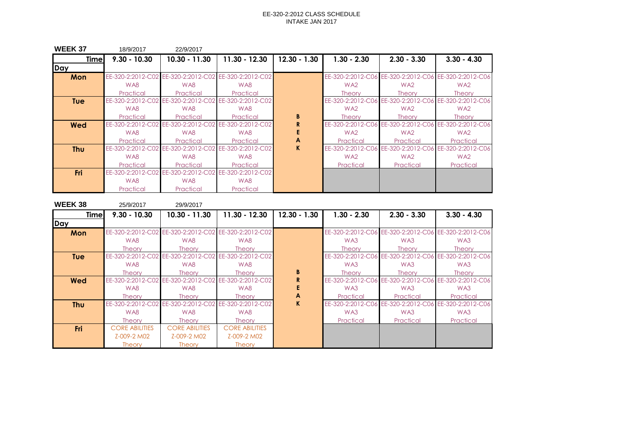| <b>WEEK 37</b> | 18/9/2017         | 22/9/2017                                             |                                     |                |                 |                                     |                                                       |
|----------------|-------------------|-------------------------------------------------------|-------------------------------------|----------------|-----------------|-------------------------------------|-------------------------------------------------------|
| <b>Time</b>    | $9.30 - 10.30$    | $10.30 - 11.30$                                       | $11.30 - 12.30$                     | $12.30 - 1.30$ | $1.30 - 2.30$   | $2.30 - 3.30$                       | $3.30 - 4.30$                                         |
| Day            |                   |                                                       |                                     |                |                 |                                     |                                                       |
| Mon            |                   | EE-320-2:2012-C02 EE-320-2:2012-C02 EE-320-2:2012-C02 |                                     |                |                 |                                     | EE-320-2:2012-C06 EE-320-2:2012-C06 EE-320-2:2012-C06 |
|                | WA8               | WA8                                                   | WA8                                 |                | WA <sub>2</sub> | WA <sub>2</sub>                     | WA <sub>2</sub>                                       |
|                | Practical         | Practical                                             | Practical                           |                | <b>Theory</b>   | <b>Theory</b>                       | <b>Theory</b>                                         |
| <b>Tue</b>     | EE-320-2:2012-C02 |                                                       | EE-320-2:2012-C02 EE-320-2:2012-C02 |                |                 |                                     | EE-320-2:2012-C06 EE-320-2:2012-C06 EE-320-2:2012-C06 |
|                | WA8               | WA8                                                   | WA8                                 |                | WA <sub>2</sub> | WA <sub>2</sub>                     | WA <sub>2</sub>                                       |
|                | Practical         | Practical                                             | Practical                           | B              | <b>Theory</b>   | Theory                              | <b>Theory</b>                                         |
| Wed            | EE-320-2:2012-C02 | EE-320-2:2012-C02                                     | EE-320-2:2012-C02                   | R              |                 | EE-320-2:2012-C06 EE-320-2:2012-C06 | EE-320-2:2012-C06                                     |
|                | WA8               | WA8                                                   | WA8                                 |                | WA <sub>2</sub> | WA <sub>2</sub>                     | WA <sub>2</sub>                                       |
|                | Practical         | Practical                                             | Practical                           | A              | Practical       | Practical                           | Practical                                             |
| <b>Thu</b>     | EE-320-2:2012-C02 | EE-320-2:2012-C02                                     | EE-320-2:2012-C02                   | K.             |                 | EE-320-2:2012-C06 EE-320-2:2012-C06 | EE-320-2:2012-C06                                     |
|                | WA8               | WA8                                                   | WA8                                 |                | WA <sub>2</sub> | WA <sub>2</sub>                     | WA <sub>2</sub>                                       |
|                | Practical         | Practical                                             | Practical                           |                | Practical       | Practical                           | Practical                                             |
| <b>Fri</b>     | EE-320-2:2012-C02 | EE-320-2:2012-C02                                     | EE-320-2:2012-C02                   |                |                 |                                     |                                                       |
|                | WA8               | WA8                                                   | WA8                                 |                |                 |                                     |                                                       |
|                | Practical         | Practical                                             | Practical                           |                |                 |                                     |                                                       |

| <b>WEEK38</b> | 25/9/2017                           | 29/9/2017                                             |                       |                |                   |                   |                                                       |
|---------------|-------------------------------------|-------------------------------------------------------|-----------------------|----------------|-------------------|-------------------|-------------------------------------------------------|
| <b>Time</b>   | $9.30 - 10.30$                      | $10.30 - 11.30$                                       | 11.30 - 12.30         | $12.30 - 1.30$ | $1.30 - 2.30$     | $2.30 - 3.30$     | $3.30 - 4.30$                                         |
| Day           |                                     |                                                       |                       |                |                   |                   |                                                       |
| Mon           |                                     | EE-320-2:2012-C02 EE-320-2:2012-C02 EE-320-2:2012-C02 |                       |                |                   |                   | EE-320-2:2012-C06 EE-320-2:2012-C06 EE-320-2:2012-C06 |
|               | WA8                                 | WA8                                                   | WA8                   |                | WA3               | WA3               | WA3                                                   |
|               | <b>Theory</b>                       | <b>Theory</b>                                         | <b>Theory</b>         |                | <b>Theory</b>     | <b>Theory</b>     | <b>Theory</b>                                         |
| <b>Tue</b>    |                                     | EE-320-2:2012-C02 EE-320-2:2012-C02 EE-320-2:2012-C02 |                       |                |                   |                   | EE-320-2:2012-C06 EE-320-2:2012-C06 EE-320-2:2012-C06 |
|               | WA8                                 | WA8                                                   | WA8                   |                | WA3               | WA3               | WA3                                                   |
|               | <b>Theory</b>                       | <b>Theory</b>                                         | <b>Theory</b>         | B              | <b>Theory</b>     | <b>Theory</b>     | <b>Theory</b>                                         |
| <b>Wed</b>    | EE-320-2:2012-C02 EE-320-2:2012-C02 |                                                       | EE-320-2:2012-C02     | R              |                   |                   | EE-320-2:2012-C06 EE-320-2:2012-C06 EE-320-2:2012-C06 |
|               | WA8                                 | WA8                                                   | WA8                   |                | WA3               | WA3               | WA3                                                   |
|               | <b>Theory</b>                       | <b>Theory</b>                                         | <b>Theory</b>         | A              | Practical         | Practical         | Practical                                             |
| <b>Thu</b>    |                                     | EE-320-2:2012-C02 EE-320-2:2012-C02 EE-320-2:2012-C02 |                       | K.             | EE-320-2:2012-C06 | EE-320-2:2012-C06 | EE-320-2:2012-C06                                     |
|               | WA8                                 | WA8                                                   | WA8                   |                | WA3               | WA3               | WA3                                                   |
|               | <b>Theory</b>                       | <b>Theory</b>                                         | <b>Theory</b>         |                | Practical         | Practical         | Practical                                             |
| Fri           | <b>CORE ABILITIES</b>               | <b>CORE ABILITIES</b>                                 | <b>CORE ABILITIES</b> |                |                   |                   |                                                       |
|               | Z-009-2 M02                         | Z-009-2 M02                                           | Z-009-2 M02           |                |                   |                   |                                                       |
|               | <b>Theory</b>                       | <b>Theory</b>                                         | <b>Theory</b>         |                |                   |                   |                                                       |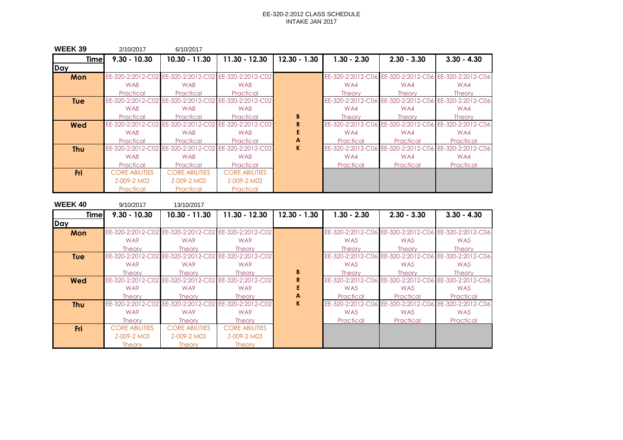| <b>WEEK 39</b> | 2/10/2017             | 6/10/2017                                             |                                     |                |                   |                   |                                                       |
|----------------|-----------------------|-------------------------------------------------------|-------------------------------------|----------------|-------------------|-------------------|-------------------------------------------------------|
| <b>Time</b>    | $9.30 - 10.30$        | $10.30 - 11.30$                                       | 11.30 - 12.30                       | $12.30 - 1.30$ | $1.30 - 2.30$     | $2.30 - 3.30$     | $3.30 - 4.30$                                         |
| Day            |                       |                                                       |                                     |                |                   |                   |                                                       |
| Mon            |                       | EE-320-2:2012-C02 EE-320-2:2012-C02 EE-320-2:2012-C02 |                                     |                |                   |                   | EE-320-2:2012-C06 EE-320-2:2012-C06 EE-320-2:2012-C06 |
|                | WA8                   | WA8                                                   | WA8                                 |                | WA4               | WA4               | WA4                                                   |
|                | Practical             | Practical                                             | Practical                           |                | <b>Theory</b>     | <b>Theory</b>     | <b>Theory</b>                                         |
| <b>Tue</b>     | EE-320-2:2012-C02     |                                                       | EE-320-2:2012-C02 EE-320-2:2012-C02 |                | EE-320-2:2012-C06 |                   | EE-320-2:2012-C06 EE-320-2:2012-C06                   |
|                | WA8                   | WA8                                                   | WA8                                 |                | WA4               | WA4               | WA4                                                   |
|                | Practical             | Practical                                             | Practical                           | B              | <b>Theory</b>     | <b>Theory</b>     | <b>Theory</b>                                         |
| Wed            | EE-320-2:2012-C02     | EE-320-2:2012-C02                                     | EE-320-2:2012-C02                   |                | EE-320-2:2012-C06 |                   | EE-320-2:2012-C06 EE-320-2:2012-C06                   |
|                | WA8                   | WA8                                                   | WA8                                 |                | WA4               | WA4               | WA4                                                   |
|                | Practical             | Practical                                             | Practical                           | A              | Practical         | Practical         | Practical                                             |
| <b>Thu</b>     | EE-320-2:2012-C02     | EE-320-2:2012-C02                                     | EE-320-2:2012-C02                   | K.             | EE-320-2:2012-C06 | EE-320-2:2012-C06 | EE-320-2:2012-C06                                     |
|                | WA8                   | WA8                                                   | WA8                                 |                | WA4               | WA4               | WA4                                                   |
|                | Practical             | Practical                                             | Practical                           |                | Practical         | Practical         | Practical                                             |
| <b>Fri</b>     | <b>CORE ABILITIES</b> | <b>CORE ABILITIES</b>                                 | <b>CORE ABILITIES</b>               |                |                   |                   |                                                       |
|                | Z-009-2 M02           | Z-009-2 M02                                           | Z-009-2 M02                         |                |                   |                   |                                                       |
|                | Practical             | Practical                                             | Practical                           |                |                   |                   |                                                       |

| <b>WEEK 40</b> | 9/10/2017             | 13/10/2017            |                                                       |                |                   |                   |                                                       |
|----------------|-----------------------|-----------------------|-------------------------------------------------------|----------------|-------------------|-------------------|-------------------------------------------------------|
| <b>Timel</b>   | $9.30 - 10.30$        | 10.30 - 11.30         | $11.30 - 12.30$                                       | $12.30 - 1.30$ | $1.30 - 2.30$     | $2.30 - 3.30$     | $3.30 - 4.30$                                         |
| Day            |                       |                       |                                                       |                |                   |                   |                                                       |
| Mon            |                       |                       | EE-320-2:2012-C02 EE-320-2:2012-C02 EE-320-2:2012-C02 |                |                   |                   | EE-320-2:2012-C06 EE-320-2:2012-C06 EE-320-2:2012-C06 |
|                | WA <sub>9</sub>       | WA9                   | WA9                                                   |                | WA <sub>5</sub>   | WA <sub>5</sub>   | WA <sub>5</sub>                                       |
|                | <b>Theory</b>         | <b>Theory</b>         | <b>Theory</b>                                         |                | <b>Theory</b>     | <b>Theory</b>     | <b>Theory</b>                                         |
| <b>Tue</b>     | EE-320-2:2012-C02     |                       | EE-320-2:2012-C02 EE-320-2:2012-C02                   |                |                   |                   | EE-320-2:2012-C06 EE-320-2:2012-C06 EE-320-2:2012-C06 |
|                | WA <sub>9</sub>       | WA9                   | WA9                                                   |                | WA <sub>5</sub>   | WA <sub>5</sub>   | WA <sub>5</sub>                                       |
|                | <b>Theory</b>         | <b>Theory</b>         | <b>Theory</b>                                         | B              | <b>Theory</b>     | <b>Theory</b>     | <b>Theory</b>                                         |
| Wed            | EE-320-2:2012-C02     | EE-320-2:2012-C02     | EE-320-2:2012-C02                                     | R              |                   |                   | EE-320-2:2012-C06 EE-320-2:2012-C06 EE-320-2:2012-C06 |
|                | WA <sub>9</sub>       | WA9                   | WA9                                                   |                | WA <sub>5</sub>   | WA5               | WA <sub>5</sub>                                       |
|                | <b>Theory</b>         | <b>Theory</b>         | <b>Theory</b>                                         | A              | Practical         | Practical         | Practical                                             |
| Thu            | EE-320-2:2012-C02     | EE-320-2:2012-C02     | EE-320-2:2012-C02                                     | K              | EE-320-2:2012-C06 | EE-320-2:2012-C06 | EE-320-2:2012-C06                                     |
|                | WA <sub>9</sub>       | WA9                   | WA9                                                   |                | WA5               | WA5               | WA5                                                   |
|                | <b>Theory</b>         | <b>Theory</b>         | <b>Theory</b>                                         |                | Practical         | Practical         | Practical                                             |
| <b>Fri</b>     | <b>CORE ABILITIES</b> | <b>CORE ABILITIES</b> | <b>CORE ABILITIES</b>                                 |                |                   |                   |                                                       |
|                | Z-009-2 M03           | Z-009-2 M03           | Z-009-2 M03                                           |                |                   |                   |                                                       |
|                | <b>Theory</b>         | <b>Theory</b>         | <b>Theory</b>                                         |                |                   |                   |                                                       |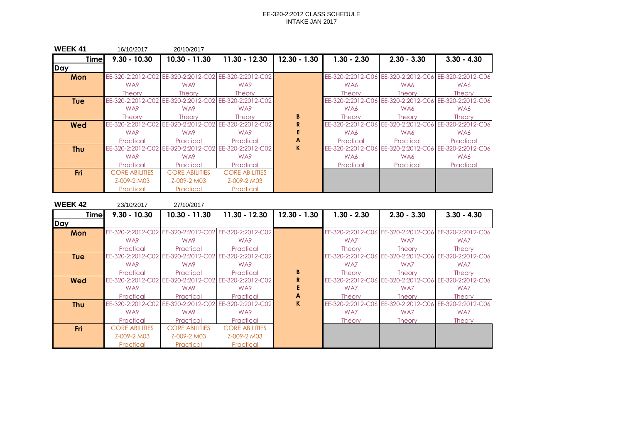| <b>WEEK 41</b> | 16/10/2017            | 20/10/2017                                            |                                     |                |                   |                   |                                                       |
|----------------|-----------------------|-------------------------------------------------------|-------------------------------------|----------------|-------------------|-------------------|-------------------------------------------------------|
| <b>Time</b>    | $9.30 - 10.30$        | $10.30 - 11.30$                                       | $11.30 - 12.30$                     | $12.30 - 1.30$ | $1.30 - 2.30$     | $2.30 - 3.30$     | $3.30 - 4.30$                                         |
| Day            |                       |                                                       |                                     |                |                   |                   |                                                       |
| Mon            |                       | EE-320-2:2012-C02 EE-320-2:2012-C02 EE-320-2:2012-C02 |                                     |                |                   |                   | EE-320-2:2012-C06 EE-320-2:2012-C06 EE-320-2:2012-C06 |
|                | WA <sub>9</sub>       | WA9                                                   | WA9                                 |                | WA6               | WA6               | WA6                                                   |
|                | <b>Theory</b>         | <b>Theory</b>                                         | <b>Theory</b>                       |                | <b>Theory</b>     | <b>Theory</b>     | <b>Theory</b>                                         |
| <b>Tue</b>     |                       | EE-320-2:2012-C02 EE-320-2:2012-C02 EE-320-2:2012-C02 |                                     |                |                   |                   | EE-320-2:2012-C06 EE-320-2:2012-C06 EE-320-2:2012-C06 |
|                | WA <sub>9</sub>       | WA9                                                   | WA9                                 |                | WA6               | WA6               | WA6                                                   |
|                | <b>Theory</b>         | Theorv                                                | <b>Theory</b>                       | B              | <b>Theory</b>     | <b>Theory</b>     | <b>Theory</b>                                         |
| <b>Wed</b>     | EE-320-2:2012-C02     |                                                       | EE-320-2:2012-C02 EE-320-2:2012-C02 |                |                   |                   | EE-320-2:2012-C06 EE-320-2:2012-C06 EE-320-2:2012-C06 |
|                | WA <sub>9</sub>       | WA9                                                   | WA9                                 |                | WA6               | WA6               | WA6                                                   |
|                | Practical             | Practical                                             | Practical                           | A              | Practical         | Practical         | Practical                                             |
| <b>Thu</b>     | EE-320-2:2012-C02     |                                                       | EE-320-2:2012-C02 EE-320-2:2012-C02 | K.             | EE-320-2:2012-C06 | EE-320-2:2012-C06 | EE-320-2:2012-C06                                     |
|                | WA <sub>9</sub>       | WA9                                                   | WA9                                 |                | WA6               | WA6               | WA6                                                   |
|                | Practical             | Practical                                             | Practical                           |                | Practical         | Practical         | Practical                                             |
| Fri            | <b>CORE ABILITIES</b> | <b>CORE ABILITIES</b>                                 | <b>CORE ABILITIES</b>               |                |                   |                   |                                                       |
|                | Z-009-2 M03           | Z-009-2 M03                                           | Z-009-2 M03                         |                |                   |                   |                                                       |
|                | Practical             | Practical                                             | Practical                           |                |                   |                   |                                                       |

| <b>WEEK 42</b> | 23/10/2017            | 27/10/2017                                            |                       |                |               |                                     |                                                       |
|----------------|-----------------------|-------------------------------------------------------|-----------------------|----------------|---------------|-------------------------------------|-------------------------------------------------------|
| <b>Timel</b>   | $9.30 - 10.30$        | $10.30 - 11.30$                                       | $11.30 - 12.30$       | $12.30 - 1.30$ | $1.30 - 2.30$ | $2.30 - 3.30$                       | $3.30 - 4.30$                                         |
| Day            |                       |                                                       |                       |                |               |                                     |                                                       |
| Mon            |                       | EE-320-2:2012-C02 EE-320-2:2012-C02 EE-320-2:2012-C02 |                       |                |               |                                     | EE-320-2:2012-C06 EE-320-2:2012-C06 EE-320-2:2012-C06 |
|                | WA9                   | WA9                                                   | WA9                   |                | WA7           | WA7                                 | WA7                                                   |
|                | Practical             | Practical                                             | Practical             |                | <b>Theory</b> | <b>Theory</b>                       | <b>Theory</b>                                         |
| <b>Tue</b>     |                       | EE-320-2:2012-C02 EE-320-2:2012-C02 EE-320-2:2012-C02 |                       |                |               |                                     | EE-320-2:2012-C06 EE-320-2:2012-C06 EE-320-2:2012-C06 |
|                | WA9                   | WA9                                                   | WA9                   |                | WA7           | WA7                                 | WA7                                                   |
|                | Practical             | Practical                                             | Practical             | B              | <b>Theory</b> | <b>Theory</b>                       | <b>Theory</b>                                         |
| <b>Wed</b>     |                       | EE-320-2:2012-C02 EE-320-2:2012-C02 EE-320-2:2012-C02 |                       |                |               |                                     | EE-320-2:2012-C06 EE-320-2:2012-C06 EE-320-2:2012-C06 |
|                | WA9                   | WA9                                                   | WA9                   |                | WA7           | WA7                                 | WA7                                                   |
|                | Practical             | Practical                                             | Practical             | A              | <b>Theory</b> | <b>Theory</b>                       | <b>Theory</b>                                         |
| <b>Thu</b>     |                       | EE-320-2:2012-C02 EE-320-2:2012-C02 EE-320-2:2012-C02 |                       | K              |               | EE-320-2:2012-C06 EE-320-2:2012-C06 | EE-320-2:2012-C06                                     |
|                | WA9                   | WA9                                                   | WA9                   |                | WA7           | WA7                                 | WA7                                                   |
|                | Practical             | Practical                                             | Practical             |                | <b>Theory</b> | <b>Theory</b>                       | <b>Theory</b>                                         |
| <b>Fri</b>     | <b>CORE ABILITIES</b> | <b>CORE ABILITIES</b>                                 | <b>CORE ABILITIES</b> |                |               |                                     |                                                       |
|                | Z-009-2 M03           | Z-009-2 M03                                           | Z-009-2 M03           |                |               |                                     |                                                       |
|                | Practical             | Practical                                             | Practical             |                |               |                                     |                                                       |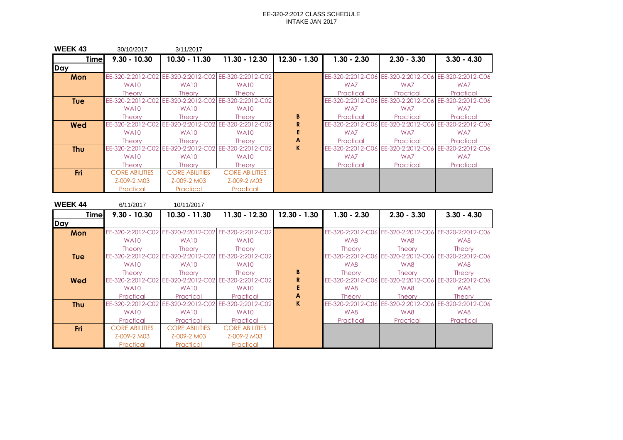| <b>WEEK43</b> | 30/10/2017            | 3/11/2017                                             |                                     |                |                   |                   |                                                       |
|---------------|-----------------------|-------------------------------------------------------|-------------------------------------|----------------|-------------------|-------------------|-------------------------------------------------------|
| <b>Time</b>   | $9.30 - 10.30$        | 10.30 - 11.30                                         | 11.30 - 12.30                       | $12.30 - 1.30$ | $1.30 - 2.30$     | $2.30 - 3.30$     | $3.30 - 4.30$                                         |
| Day           |                       |                                                       |                                     |                |                   |                   |                                                       |
| Mon           |                       | EE-320-2:2012-C02 EE-320-2:2012-C02 EE-320-2:2012-C02 |                                     |                |                   |                   | EE-320-2:2012-C06 EE-320-2:2012-C06 EE-320-2:2012-C06 |
|               | <b>WA10</b>           | <b>WA10</b>                                           | <b>WA10</b>                         |                | WA7               | WA7               | WA7                                                   |
|               | <b>Theory</b>         | <b>Theory</b>                                         | <b>Theory</b>                       |                | Practical         | Practical         | Practical                                             |
| <b>Tue</b>    | EE-320-2:2012-C02     |                                                       | EE-320-2:2012-C02 EE-320-2:2012-C02 |                |                   |                   | EE-320-2:2012-C06 EE-320-2:2012-C06 EE-320-2:2012-C06 |
|               | WA <sub>10</sub>      | WA <sub>10</sub>                                      | <b>WA10</b>                         |                | WA7               | WA7               | WA7                                                   |
|               | <b>Theory</b>         | <b>Theory</b>                                         | <b>Theory</b>                       | B              | Practical         | Practical         | Practical                                             |
| Wed           | EE-320-2:2012-C02     | EE-320-2:2012-C02                                     | EE-320-2:2012-C02                   | R              | EE-320-2:2012-C06 | EE-320-2:2012-C06 | EE-320-2:2012-C06                                     |
|               | WA <sub>10</sub>      | WA <sub>10</sub>                                      | <b>WA10</b>                         |                | WA7               | WA7               | WA7                                                   |
|               | <b>Theory</b>         | <b>Theory</b>                                         | <b>Theory</b>                       | A              | Practical         | Practical         | Practical                                             |
| <b>Thu</b>    | EE-320-2:2012-C02     | EE-320-2:2012-C02                                     | EE-320-2:2012-C02                   | K.             | EE-320-2:2012-C06 | EE-320-2:2012-C06 | EE-320-2:2012-C06                                     |
|               | WA <sub>10</sub>      | WA <sub>10</sub>                                      | <b>WA10</b>                         |                | WA7               | WA7               | WA7                                                   |
|               | <b>Theory</b>         | <b>Theory</b>                                         | Theory                              |                | Practical         | Practical         | Practical                                             |
| <b>Fri</b>    | <b>CORE ABILITIES</b> | <b>CORE ABILITIES</b>                                 | <b>CORE ABILITIES</b>               |                |                   |                   |                                                       |
|               | Z-009-2 M03           | Z-009-2 M03                                           | Z-009-2 M03                         |                |                   |                   |                                                       |
|               | Practical             | Practical                                             | Practical                           |                |                   |                   |                                                       |

| <b>WEEK 44</b> | 6/11/2017             | 10/11/2017            |                                                       |                |                   |                   |                                                       |
|----------------|-----------------------|-----------------------|-------------------------------------------------------|----------------|-------------------|-------------------|-------------------------------------------------------|
| <b>Timel</b>   | $9.30 - 10.30$        | 10.30 - 11.30         | $11.30 - 12.30$                                       | $12.30 - 1.30$ | $1.30 - 2.30$     | $2.30 - 3.30$     | $3.30 - 4.30$                                         |
| Day            |                       |                       |                                                       |                |                   |                   |                                                       |
| Mon            |                       |                       | EE-320-2:2012-C02 EE-320-2:2012-C02 EE-320-2:2012-C02 |                |                   |                   | EE-320-2:2012-C06 EE-320-2:2012-C06 EE-320-2:2012-C06 |
|                | WA <sub>10</sub>      | <b>WA10</b>           | <b>WA10</b>                                           |                | WA8               | WA8               | WA8                                                   |
|                | <b>Theory</b>         | <b>Theory</b>         | <b>Theory</b>                                         |                | <b>Theory</b>     | <b>Theory</b>     | <b>Theory</b>                                         |
| <b>Tue</b>     |                       |                       | EE-320-2:2012-C02 EE-320-2:2012-C02 EE-320-2:2012-C02 |                |                   |                   | EE-320-2:2012-C06 EE-320-2:2012-C06 EE-320-2:2012-C06 |
|                | <b>WA10</b>           | <b>WA10</b>           | WA <sub>10</sub>                                      |                | WA8               | WA8               | WA8                                                   |
|                | <b>Theory</b>         | <b>Theory</b>         | <b>Theory</b>                                         | B              | <b>Theory</b>     | <b>Theory</b>     | <b>Theory</b>                                         |
| <b>Wed</b>     | EE-320-2:2012-C02     | EE-320-2:2012-C02     | EE-320-2:2012-C02                                     | R              |                   |                   | EE-320-2:2012-C06 EE-320-2:2012-C06 EE-320-2:2012-C06 |
|                | WA <sub>10</sub>      | <b>WA10</b>           | <b>WA10</b>                                           |                | WA8               | WA8               | WA8                                                   |
|                | Practical             | Practical             | Practical                                             | A              | <b>Theory</b>     | <b>Theory</b>     | <b>Theory</b>                                         |
| <b>Thu</b>     | EE-320-2:2012-C02     | EE-320-2:2012-C02     | EE-320-2:2012-C02                                     | K              | EE-320-2:2012-C06 | EE-320-2:2012-C06 | EE-320-2:2012-C06                                     |
|                | <b>WA10</b>           | <b>WA10</b>           | WA <sub>10</sub>                                      |                | WA8               | WA8               | WA8                                                   |
|                | Practical             | Practical             | Practical                                             |                | Practical         | Practical         | Practical                                             |
| <b>Fri</b>     | <b>CORE ABILITIES</b> | <b>CORE ABILITIES</b> | <b>CORE ABILITIES</b>                                 |                |                   |                   |                                                       |
|                | Z-009-2 M03           | Z-009-2 M03           | Z-009-2 M03                                           |                |                   |                   |                                                       |
|                | Practical             | Practical             | Practical                                             |                |                   |                   |                                                       |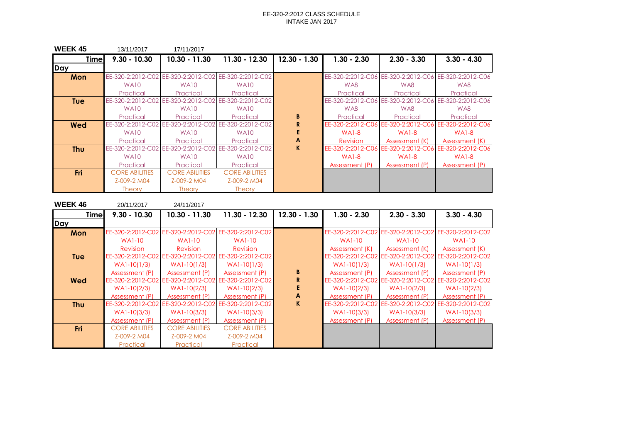| <b>WEEK 45</b> | 13/11/2017            | 17/11/2017            |                                                       |                |                 |                |                                                       |
|----------------|-----------------------|-----------------------|-------------------------------------------------------|----------------|-----------------|----------------|-------------------------------------------------------|
| <b>Time</b>    | $9.30 - 10.30$        | $10.30 - 11.30$       | 11.30 - 12.30                                         | $12.30 - 1.30$ | $1.30 - 2.30$   | $2.30 - 3.30$  | $3.30 - 4.30$                                         |
| Day            |                       |                       |                                                       |                |                 |                |                                                       |
| Mon            |                       |                       | EE-320-2:2012-C02 EE-320-2:2012-C02 EE-320-2:2012-C02 |                |                 |                | EE-320-2:2012-C06 EE-320-2:2012-C06 EE-320-2:2012-C06 |
|                | <b>WA10</b>           | WA <sub>10</sub>      | <b>WA10</b>                                           |                | WA8             | WA8            | WA8                                                   |
|                | Practical             | Practical             | Practical                                             |                | Practical       | Practical      | Practical                                             |
| <b>Tue</b>     | EE-320-2:2012-C02     |                       | EE-320-2:2012-C02 EE-320-2:2012-C02                   |                |                 |                | EE-320-2:2012-C06 EE-320-2:2012-C06 EE-320-2:2012-C06 |
|                | <b>WA10</b>           | <b>WA10</b>           | <b>WA10</b>                                           |                | WA8             | WA8            | WA8                                                   |
|                | Practical             | Practical             | Practical                                             | B              | Practical       | Practical      | Practical                                             |
| Wed            | EE-320-2:2012-C02     |                       | EE-320-2:2012-C02 EE-320-2:2012-C02                   | R              |                 |                | EE-320-2:2012-C06 EE-320-2:2012-C06 EE-320-2:2012-C06 |
|                | WA <sub>10</sub>      | <b>WA10</b>           | <b>WA10</b>                                           |                | <b>WA1-8</b>    | $WA1-8$        | <b>WA1-8</b>                                          |
|                | Practical             | Practical             | Practical                                             | A              | <b>Revision</b> | Assessment (K) | Assessment (K)                                        |
| <b>Thu</b>     | EE-320-2:2012-C02     |                       | EE-320-2:2012-C02 EE-320-2:2012-C02                   | K.             |                 |                | EE-320-2:2012-C06 EE-320-2:2012-C06 EE-320-2:2012-C06 |
|                | <b>WA10</b>           | <b>WA10</b>           | <b>WA10</b>                                           |                | $WA1-8$         | $WA1-8$        | <b>WA1-8</b>                                          |
|                | Practical             | Practical             | Practical                                             |                | Assessment (P)  | Assessment (P) | Assessment (P)                                        |
| Fri            | <b>CORE ABILITIES</b> | <b>CORE ABILITIES</b> | <b>CORE ABILITIES</b>                                 |                |                 |                |                                                       |
|                | Z-009-2 M04           | Z-009-2 M04           | Z-009-2 M04                                           |                |                 |                |                                                       |
|                | <b>Theory</b>         | <b>Theory</b>         | <b>Theory</b>                                         |                |                 |                |                                                       |

| <b>WEEK46</b> | 20/11/2017            | 24/11/2017                                            |                                                       |                |                |                                     |                                                       |
|---------------|-----------------------|-------------------------------------------------------|-------------------------------------------------------|----------------|----------------|-------------------------------------|-------------------------------------------------------|
| <b>Time</b>   | $9.30 - 10.30$        | $10.30 - 11.30$                                       | 11.30 - 12.30                                         | $12.30 - 1.30$ | $1.30 - 2.30$  | $2.30 - 3.30$                       | $3.30 - 4.30$                                         |
| Day           |                       |                                                       |                                                       |                |                |                                     |                                                       |
| Mon           |                       | EE-320-2:2012-C02 EE-320-2:2012-C02 EE-320-2:2012-C02 |                                                       |                |                |                                     | EE-320-2:2012-C02 EE-320-2:2012-C02 EE-320-2:2012-C02 |
|               | <b>WA1-10</b>         | <b>WA1-10</b>                                         | <b>WA1-10</b>                                         |                | <b>WA1-10</b>  | <b>WA1-10</b>                       | <b>WA1-10</b>                                         |
|               | <b>Revision</b>       | Revision                                              | Revision                                              |                | Assessment (K) | Assessment (K)                      | Assessment (K)                                        |
| <b>Tue</b>    |                       | EE-320-2:2012-C02 EE-320-2:2012-C02 EE-320-2:2012-C02 |                                                       |                |                |                                     | EE-320-2:2012-C02 EE-320-2:2012-C02 EE-320-2:2012-C02 |
|               | $WA1-10(1/3)$         | $WA1-10(1/3)$                                         | $WA1-10(1/3)$                                         |                | $WA1-10(1/3)$  | $WA1-10(1/3)$                       | $WA1-10(1/3)$                                         |
|               | Assessment (P)        | Assessment (P)                                        | Assessment (P)                                        | B              | Assessment (P) | Assessment (P)                      | Assessment (P)                                        |
| <b>Wed</b>    |                       |                                                       | EE-320-2:2012-C02 EE-320-2:2012-C02 EE-320-2:2012-C02 |                |                |                                     | EE-320-2:2012-C02 EE-320-2:2012-C02 EE-320-2:2012-C02 |
|               | $WA1-10(2/3)$         | $WA1-10(2/3)$                                         | $WA1-10(2/3)$                                         |                | $WA1-10(2/3)$  | $WA1-10(2/3)$                       | $WA1-10(2/3)$                                         |
|               | Assessment (P)        | Assessment (P)                                        | Assessment (P)                                        | A              | Assessment (P) | Assessment (P)                      | Assessment (P)                                        |
| <b>Thu</b>    |                       | EE-320-2:2012-C02 EE-320-2:2012-C02 EE-320-2:2012-C02 |                                                       | K              |                | EE-320-2:2012-C02 EE-320-2:2012-C02 | EE-320-2:2012-C02                                     |
|               | $WA1-10(3/3)$         | $WA1-10(3/3)$                                         | $WA1-10(3/3)$                                         |                | $WA1-10(3/3)$  | $WA1-10(3/3)$                       | $WA1-10(3/3)$                                         |
|               | Assessment (P)        | Assessment (P)                                        | Assessment (P)                                        |                | Assessment (P) | Assessment (P)                      | Assessment (P)                                        |
| <b>Fri</b>    | <b>CORE ABILITIES</b> | <b>CORE ABILITIES</b>                                 | <b>CORE ABILITIES</b>                                 |                |                |                                     |                                                       |
|               | Z-009-2 M04           | Z-009-2 M04                                           | Z-009-2 M04                                           |                |                |                                     |                                                       |
|               | Practical             | Practical                                             | Practical                                             |                |                |                                     |                                                       |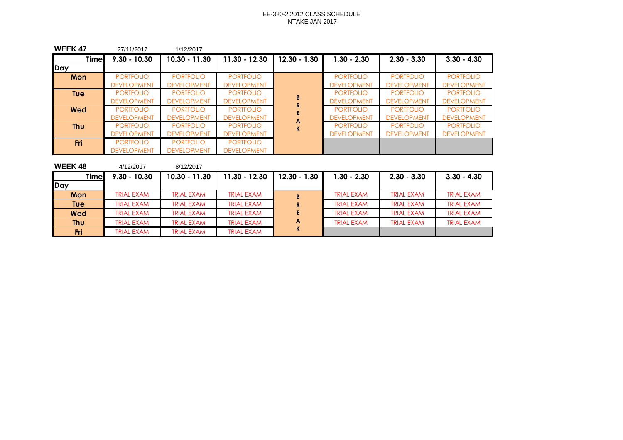| <b>WEEK 47</b> | 27/11/2017         | 1/12/2017          |                    |                   |                    |                    |                    |
|----------------|--------------------|--------------------|--------------------|-------------------|--------------------|--------------------|--------------------|
| <b>Timel</b>   | $9.30 - 10.30$     | $10.30 - 11.30$    | 11.30 - 12.30      | $12.30 - 1.30$    | $1.30 - 2.30$      | $2.30 - 3.30$      | $3.30 - 4.30$      |
| Day            |                    |                    |                    |                   |                    |                    |                    |
| <b>Mon</b>     | <b>PORTFOLIO</b>   | <b>PORTFOLIO</b>   | <b>PORTFOLIO</b>   |                   | <b>PORTFOLIO</b>   | <b>PORTFOLIO</b>   | <b>PORTFOLIO</b>   |
|                | <b>DEVELOPMENT</b> | <b>DEVELOPMENT</b> | <b>DEVELOPMENT</b> |                   | <b>DEVELOPMENT</b> | <b>DEVELOPMENT</b> | <b>DEVELOPMENT</b> |
| <b>Tue</b>     | <b>PORTFOLIO</b>   | <b>PORTFOLIO</b>   | <b>PORTFOLIO</b>   | B                 | <b>PORTFOLIO</b>   | <b>PORTFOLIO</b>   | <b>PORTFOLIO</b>   |
|                | <b>DEVELOPMENT</b> | <b>DEVELOPMENT</b> | <b>DEVELOPMENT</b> |                   | <b>DEVELOPMENT</b> | <b>DEVELOPMENT</b> | <b>DEVELOPMENT</b> |
| <b>Wed</b>     | <b>PORTFOLIO</b>   | <b>PORTFOLIO</b>   | <b>PORTFOLIO</b>   | R.                | <b>PORTFOLIO</b>   | <b>PORTFOLIO</b>   | <b>PORTFOLIO</b>   |
|                | <b>DEVELOPMENT</b> | <b>DEVELOPMENT</b> | <b>DEVELOPMENT</b> |                   | <b>DEVELOPMENT</b> | <b>DEVELOPMENT</b> | <b>DEVELOPMENT</b> |
| <b>Thu</b>     | <b>PORTFOLIO</b>   | <b>PORTFOLIO</b>   | <b>PORTFOLIO</b>   | A<br>$\mathsf{K}$ | <b>PORTFOLIO</b>   | <b>PORTFOLIO</b>   | <b>PORTFOLIO</b>   |
|                | <b>DEVELOPMENT</b> | <b>DEVELOPMENT</b> | <b>DEVELOPMENT</b> |                   | <b>DEVELOPMENT</b> | <b>DEVELOPMENT</b> | <b>DEVELOPMENT</b> |
| <b>Fri</b>     | <b>PORTFOLIO</b>   | <b>PORTFOLIO</b>   | <b>PORTFOLIO</b>   |                   |                    |                    |                    |
|                | <b>DEVELOPMENT</b> | <b>DEVELOPMENT</b> | <b>DEVELOPMENT</b> |                   |                    |                    |                    |

| <b>WEEK48</b> | 4/12/2017         | 8/12/2017         |                   |                |                   |                   |                   |
|---------------|-------------------|-------------------|-------------------|----------------|-------------------|-------------------|-------------------|
| <b>Time</b>   | $9.30 - 10.30$    | $10.30 - 11.30$   | 11.30 - 12.30     | $12.30 - 1.30$ | $1.30 - 2.30$     | $2.30 - 3.30$     | $3.30 - 4.30$     |
| Day           |                   |                   |                   |                |                   |                   |                   |
| Mon           | <b>TRIAL EXAM</b> | TRIAL EXAM        | <b>TRIAL EXAM</b> | B              | <b>TRIAL EXAM</b> | <b>TRIAL EXAM</b> | <b>TRIAL EXAM</b> |
| Tuel          | <b>TRIAL EXAM</b> | TRIAL EXAM        | <b>TRIAL EXAM</b> | R              | <b>TRIAL EXAM</b> | <b>TRIAL EXAM</b> | <b>TRIAL EXAM</b> |
| <b>Wed</b>    | <b>TRIAL EXAM</b> | <b>TRIAL EXAM</b> | <b>TRIAL EXAM</b> | Е.             | <b>TRIAL EXAM</b> | <b>TRIAL EXAM</b> | <b>TRIAL EXAM</b> |
| Thu           | <b>TRIAL EXAM</b> | <b>TRIAL EXAM</b> | <b>TRIAL EXAM</b> | A              | <b>TRIAL EXAM</b> | <b>TRIAL EXAM</b> | <b>TRIAL EXAM</b> |
| Fri           | <b>TRIAL EXAM</b> | TRIAL EXAM        | <b>TRIAL EXAM</b> | K.             |                   |                   |                   |